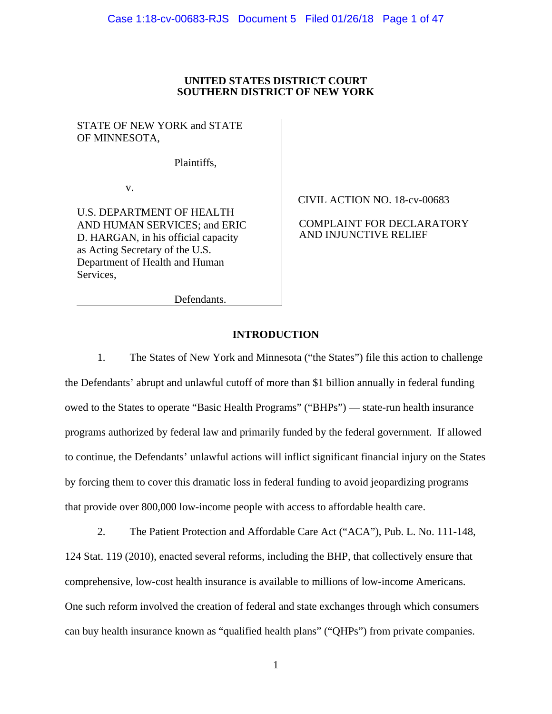## **UNITED STATES DISTRICT COURT SOUTHERN DISTRICT OF NEW YORK**

STATE OF NEW YORK and STATE OF MINNESOTA,

Plaintiffs,

v.

U.S. DEPARTMENT OF HEALTH AND HUMAN SERVICES; and ERIC D. HARGAN, in his official capacity as Acting Secretary of the U.S. Department of Health and Human Services,

CIVIL ACTION NO. 18-cv-00683

COMPLAINT FOR DECLARATORY AND INJUNCTIVE RELIEF

Defendants.

## **INTRODUCTION**

1. The States of New York and Minnesota ("the States") file this action to challenge the Defendants' abrupt and unlawful cutoff of more than \$1 billion annually in federal funding owed to the States to operate "Basic Health Programs" ("BHPs") — state-run health insurance programs authorized by federal law and primarily funded by the federal government. If allowed to continue, the Defendants' unlawful actions will inflict significant financial injury on the States by forcing them to cover this dramatic loss in federal funding to avoid jeopardizing programs that provide over 800,000 low-income people with access to affordable health care.

2. The Patient Protection and Affordable Care Act ("ACA"), Pub. L. No. 111-148, 124 Stat. 119 (2010), enacted several reforms, including the BHP, that collectively ensure that comprehensive, low-cost health insurance is available to millions of low-income Americans. One such reform involved the creation of federal and state exchanges through which consumers can buy health insurance known as "qualified health plans" ("QHPs") from private companies.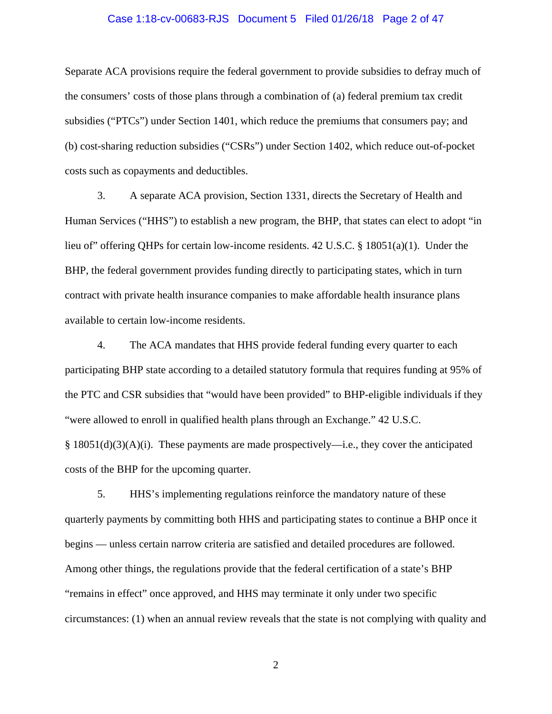#### Case 1:18-cv-00683-RJS Document 5 Filed 01/26/18 Page 2 of 47

Separate ACA provisions require the federal government to provide subsidies to defray much of the consumers' costs of those plans through a combination of (a) federal premium tax credit subsidies ("PTCs") under Section 1401, which reduce the premiums that consumers pay; and (b) cost-sharing reduction subsidies ("CSRs") under Section 1402, which reduce out-of-pocket costs such as copayments and deductibles.

3. A separate ACA provision, Section 1331, directs the Secretary of Health and Human Services ("HHS") to establish a new program, the BHP, that states can elect to adopt "in lieu of" offering QHPs for certain low-income residents. 42 U.S.C. § 18051(a)(1). Under the BHP, the federal government provides funding directly to participating states, which in turn contract with private health insurance companies to make affordable health insurance plans available to certain low-income residents.

4. The ACA mandates that HHS provide federal funding every quarter to each participating BHP state according to a detailed statutory formula that requires funding at 95% of the PTC and CSR subsidies that "would have been provided" to BHP-eligible individuals if they "were allowed to enroll in qualified health plans through an Exchange." 42 U.S.C.  $§$  18051(d)(3)(A)(i). These payments are made prospectively—i.e., they cover the anticipated costs of the BHP for the upcoming quarter.

5. HHS's implementing regulations reinforce the mandatory nature of these quarterly payments by committing both HHS and participating states to continue a BHP once it begins — unless certain narrow criteria are satisfied and detailed procedures are followed. Among other things, the regulations provide that the federal certification of a state's BHP "remains in effect" once approved, and HHS may terminate it only under two specific circumstances: (1) when an annual review reveals that the state is not complying with quality and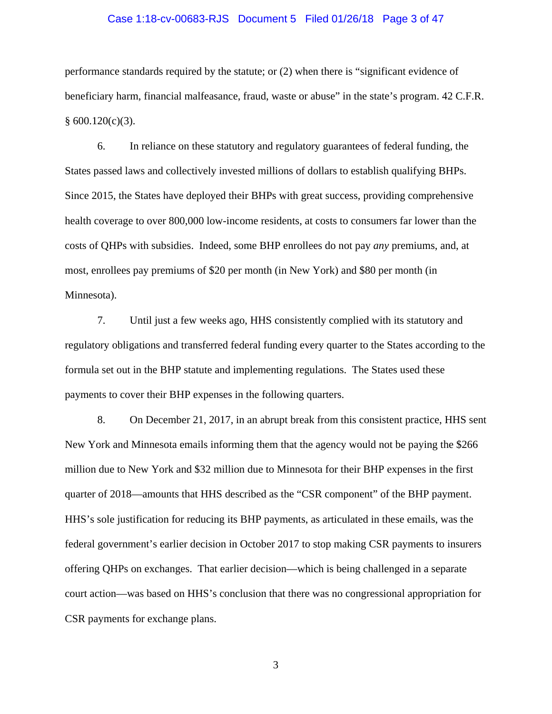#### Case 1:18-cv-00683-RJS Document 5 Filed 01/26/18 Page 3 of 47

performance standards required by the statute; or (2) when there is "significant evidence of beneficiary harm, financial malfeasance, fraud, waste or abuse" in the state's program. 42 C.F.R.  $§ 600.120(c)(3).$ 

6. In reliance on these statutory and regulatory guarantees of federal funding, the States passed laws and collectively invested millions of dollars to establish qualifying BHPs. Since 2015, the States have deployed their BHPs with great success, providing comprehensive health coverage to over 800,000 low-income residents, at costs to consumers far lower than the costs of QHPs with subsidies. Indeed, some BHP enrollees do not pay *any* premiums, and, at most, enrollees pay premiums of \$20 per month (in New York) and \$80 per month (in Minnesota).

7. Until just a few weeks ago, HHS consistently complied with its statutory and regulatory obligations and transferred federal funding every quarter to the States according to the formula set out in the BHP statute and implementing regulations. The States used these payments to cover their BHP expenses in the following quarters.

8. On December 21, 2017, in an abrupt break from this consistent practice, HHS sent New York and Minnesota emails informing them that the agency would not be paying the \$266 million due to New York and \$32 million due to Minnesota for their BHP expenses in the first quarter of 2018—amounts that HHS described as the "CSR component" of the BHP payment. HHS's sole justification for reducing its BHP payments, as articulated in these emails, was the federal government's earlier decision in October 2017 to stop making CSR payments to insurers offering QHPs on exchanges. That earlier decision—which is being challenged in a separate court action—was based on HHS's conclusion that there was no congressional appropriation for CSR payments for exchange plans.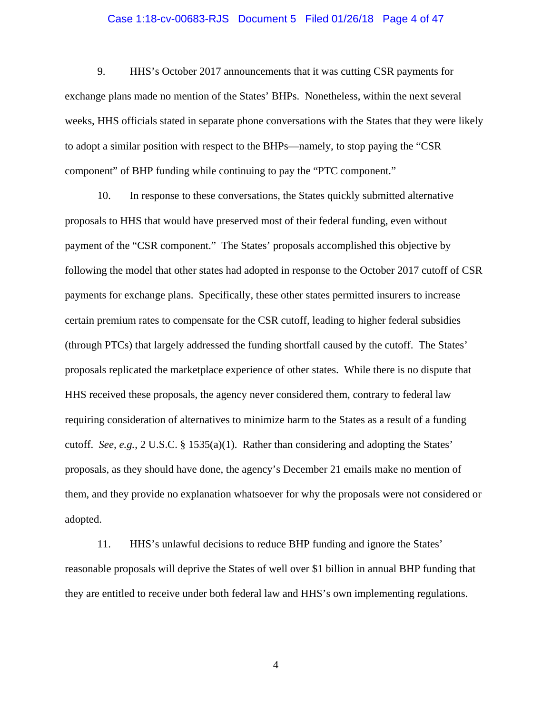#### Case 1:18-cv-00683-RJS Document 5 Filed 01/26/18 Page 4 of 47

9. HHS's October 2017 announcements that it was cutting CSR payments for exchange plans made no mention of the States' BHPs. Nonetheless, within the next several weeks, HHS officials stated in separate phone conversations with the States that they were likely to adopt a similar position with respect to the BHPs—namely, to stop paying the "CSR component" of BHP funding while continuing to pay the "PTC component."

10. In response to these conversations, the States quickly submitted alternative proposals to HHS that would have preserved most of their federal funding, even without payment of the "CSR component." The States' proposals accomplished this objective by following the model that other states had adopted in response to the October 2017 cutoff of CSR payments for exchange plans. Specifically, these other states permitted insurers to increase certain premium rates to compensate for the CSR cutoff, leading to higher federal subsidies (through PTCs) that largely addressed the funding shortfall caused by the cutoff. The States' proposals replicated the marketplace experience of other states. While there is no dispute that HHS received these proposals, the agency never considered them, contrary to federal law requiring consideration of alternatives to minimize harm to the States as a result of a funding cutoff. *See, e.g.*, 2 U.S.C. § 1535(a)(1). Rather than considering and adopting the States' proposals, as they should have done, the agency's December 21 emails make no mention of them, and they provide no explanation whatsoever for why the proposals were not considered or adopted.

11. HHS's unlawful decisions to reduce BHP funding and ignore the States' reasonable proposals will deprive the States of well over \$1 billion in annual BHP funding that they are entitled to receive under both federal law and HHS's own implementing regulations.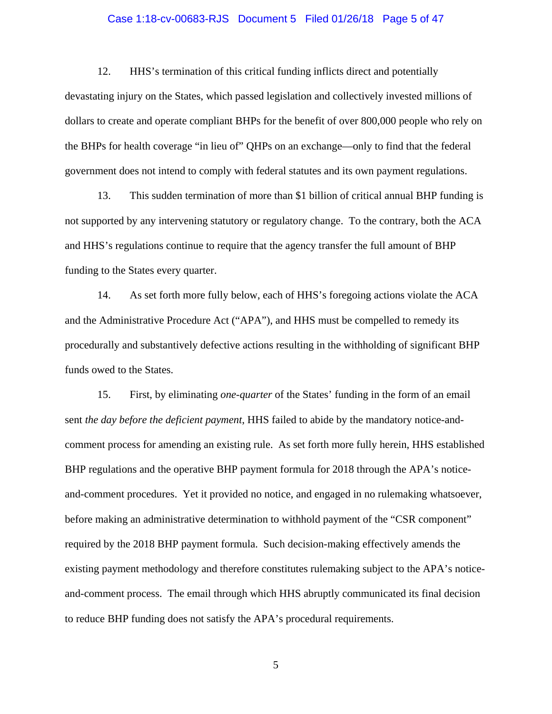#### Case 1:18-cv-00683-RJS Document 5 Filed 01/26/18 Page 5 of 47

12. HHS's termination of this critical funding inflicts direct and potentially devastating injury on the States, which passed legislation and collectively invested millions of dollars to create and operate compliant BHPs for the benefit of over 800,000 people who rely on the BHPs for health coverage "in lieu of" QHPs on an exchange—only to find that the federal government does not intend to comply with federal statutes and its own payment regulations.

13. This sudden termination of more than \$1 billion of critical annual BHP funding is not supported by any intervening statutory or regulatory change. To the contrary, both the ACA and HHS's regulations continue to require that the agency transfer the full amount of BHP funding to the States every quarter.

14. As set forth more fully below, each of HHS's foregoing actions violate the ACA and the Administrative Procedure Act ("APA"), and HHS must be compelled to remedy its procedurally and substantively defective actions resulting in the withholding of significant BHP funds owed to the States.

15. First, by eliminating *one-quarter* of the States' funding in the form of an email sent *the day before the deficient payment*, HHS failed to abide by the mandatory notice-andcomment process for amending an existing rule. As set forth more fully herein, HHS established BHP regulations and the operative BHP payment formula for 2018 through the APA's noticeand-comment procedures. Yet it provided no notice, and engaged in no rulemaking whatsoever, before making an administrative determination to withhold payment of the "CSR component" required by the 2018 BHP payment formula. Such decision-making effectively amends the existing payment methodology and therefore constitutes rulemaking subject to the APA's noticeand-comment process. The email through which HHS abruptly communicated its final decision to reduce BHP funding does not satisfy the APA's procedural requirements.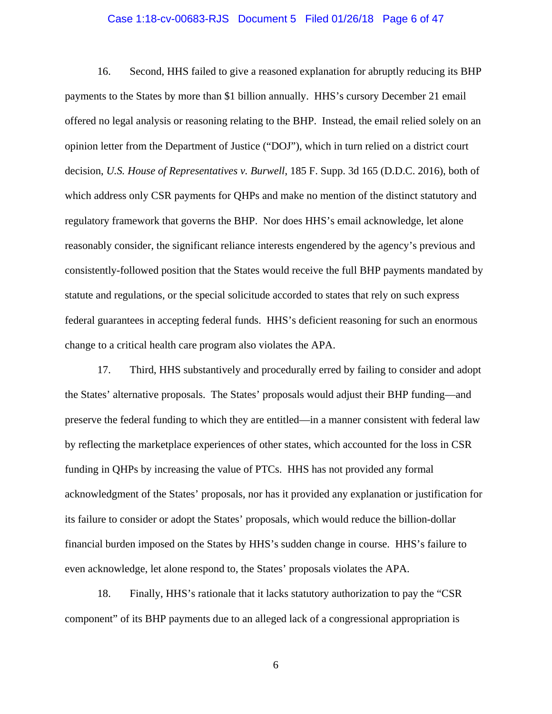#### Case 1:18-cv-00683-RJS Document 5 Filed 01/26/18 Page 6 of 47

16. Second, HHS failed to give a reasoned explanation for abruptly reducing its BHP payments to the States by more than \$1 billion annually. HHS's cursory December 21 email offered no legal analysis or reasoning relating to the BHP. Instead, the email relied solely on an opinion letter from the Department of Justice ("DOJ"), which in turn relied on a district court decision, *U.S. House of Representatives v. Burwell*, 185 F. Supp. 3d 165 (D.D.C. 2016), both of which address only CSR payments for QHPs and make no mention of the distinct statutory and regulatory framework that governs the BHP. Nor does HHS's email acknowledge, let alone reasonably consider, the significant reliance interests engendered by the agency's previous and consistently-followed position that the States would receive the full BHP payments mandated by statute and regulations, or the special solicitude accorded to states that rely on such express federal guarantees in accepting federal funds. HHS's deficient reasoning for such an enormous change to a critical health care program also violates the APA.

17. Third, HHS substantively and procedurally erred by failing to consider and adopt the States' alternative proposals. The States' proposals would adjust their BHP funding—and preserve the federal funding to which they are entitled—in a manner consistent with federal law by reflecting the marketplace experiences of other states, which accounted for the loss in CSR funding in QHPs by increasing the value of PTCs. HHS has not provided any formal acknowledgment of the States' proposals, nor has it provided any explanation or justification for its failure to consider or adopt the States' proposals, which would reduce the billion-dollar financial burden imposed on the States by HHS's sudden change in course. HHS's failure to even acknowledge, let alone respond to, the States' proposals violates the APA.

18. Finally, HHS's rationale that it lacks statutory authorization to pay the "CSR component" of its BHP payments due to an alleged lack of a congressional appropriation is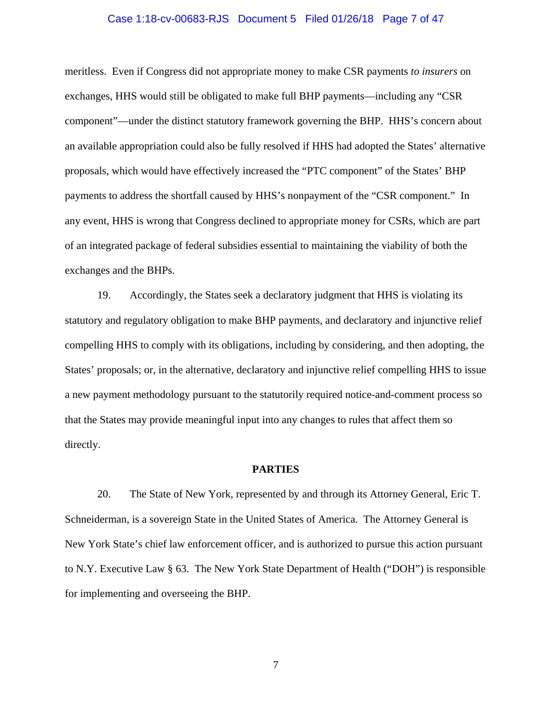# Case 1:18-cv-00683-RJS Document 5 Filed 01/26/18 Page 7 of 47

meritless. Even if Congress did not appropriate money to make CSR payments *to insurers* on exchanges, HHS would still be obligated to make full BHP payments—including any "CSR component"—under the distinct statutory framework governing the BHP. HHS's concern about an available appropriation could also be fully resolved if HHS had adopted the States' alternative proposals, which would have effectively increased the "PTC component" of the States' BHP payments to address the shortfall caused by HHS's nonpayment of the "CSR component." In any event, HHS is wrong that Congress declined to appropriate money for CSRs, which are part of an integrated package of federal subsidies essential to maintaining the viability of both the exchanges and the BHPs.

19. Accordingly, the States seek a declaratory judgment that HHS is violating its statutory and regulatory obligation to make BHP payments, and declaratory and injunctive relief compelling HHS to comply with its obligations, including by considering, and then adopting, the States' proposals; or, in the alternative, declaratory and injunctive relief compelling HHS to issue a new payment methodology pursuant to the statutorily required notice-and-comment process so that the States may provide meaningful input into any changes to rules that affect them so directly.

#### **PARTIES**

20. The State of New York, represented by and through its Attorney General, Eric T. Schneiderman, is a sovereign State in the United States of America. The Attorney General is New York State's chief law enforcement officer, and is authorized to pursue this action pursuant to N.Y. Executive Law § 63. The New York State Department of Health ("DOH") is responsible for implementing and overseeing the BHP.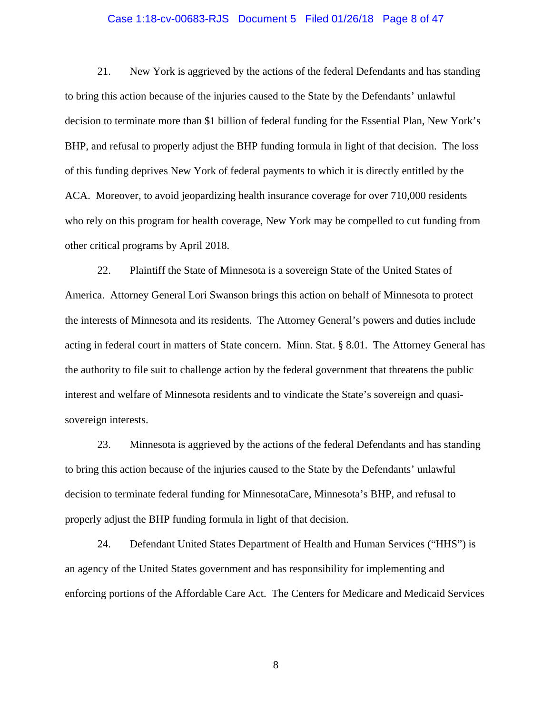#### Case 1:18-cv-00683-RJS Document 5 Filed 01/26/18 Page 8 of 47

21. New York is aggrieved by the actions of the federal Defendants and has standing to bring this action because of the injuries caused to the State by the Defendants' unlawful decision to terminate more than \$1 billion of federal funding for the Essential Plan, New York's BHP, and refusal to properly adjust the BHP funding formula in light of that decision. The loss of this funding deprives New York of federal payments to which it is directly entitled by the ACA. Moreover, to avoid jeopardizing health insurance coverage for over 710,000 residents who rely on this program for health coverage, New York may be compelled to cut funding from other critical programs by April 2018.

22. Plaintiff the State of Minnesota is a sovereign State of the United States of America. Attorney General Lori Swanson brings this action on behalf of Minnesota to protect the interests of Minnesota and its residents. The Attorney General's powers and duties include acting in federal court in matters of State concern. Minn. Stat. § 8.01. The Attorney General has the authority to file suit to challenge action by the federal government that threatens the public interest and welfare of Minnesota residents and to vindicate the State's sovereign and quasisovereign interests.

23. Minnesota is aggrieved by the actions of the federal Defendants and has standing to bring this action because of the injuries caused to the State by the Defendants' unlawful decision to terminate federal funding for MinnesotaCare, Minnesota's BHP, and refusal to properly adjust the BHP funding formula in light of that decision.

24. Defendant United States Department of Health and Human Services ("HHS") is an agency of the United States government and has responsibility for implementing and enforcing portions of the Affordable Care Act. The Centers for Medicare and Medicaid Services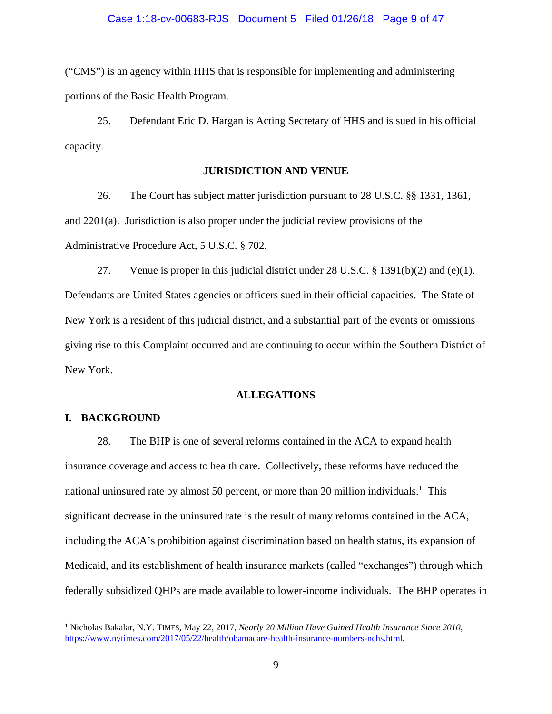#### Case 1:18-cv-00683-RJS Document 5 Filed 01/26/18 Page 9 of 47

("CMS") is an agency within HHS that is responsible for implementing and administering portions of the Basic Health Program.

25. Defendant Eric D. Hargan is Acting Secretary of HHS and is sued in his official capacity.

### **JURISDICTION AND VENUE**

26. The Court has subject matter jurisdiction pursuant to 28 U.S.C. §§ 1331, 1361, and 2201(a). Jurisdiction is also proper under the judicial review provisions of the Administrative Procedure Act, 5 U.S.C. § 702.

27. Venue is proper in this judicial district under 28 U.S.C. § 1391(b)(2) and (e)(1). Defendants are United States agencies or officers sued in their official capacities. The State of New York is a resident of this judicial district, and a substantial part of the events or omissions giving rise to this Complaint occurred and are continuing to occur within the Southern District of New York.

## **ALLEGATIONS**

# **I. BACKGROUND**

<u>.</u>

28. The BHP is one of several reforms contained in the ACA to expand health insurance coverage and access to health care. Collectively, these reforms have reduced the national uninsured rate by almost 50 percent, or more than 20 million individuals.<sup>1</sup> This significant decrease in the uninsured rate is the result of many reforms contained in the ACA, including the ACA's prohibition against discrimination based on health status, its expansion of Medicaid, and its establishment of health insurance markets (called "exchanges") through which federally subsidized QHPs are made available to lower-income individuals. The BHP operates in

<sup>&</sup>lt;sup>1</sup> Nicholas Bakalar, N.Y. TIMES, May 22, 2017, *Nearly 20 Million Have Gained Health Insurance Since 2010*, https://www.nytimes.com/2017/05/22/health/obamacare-health-insurance-numbers-nchs.html.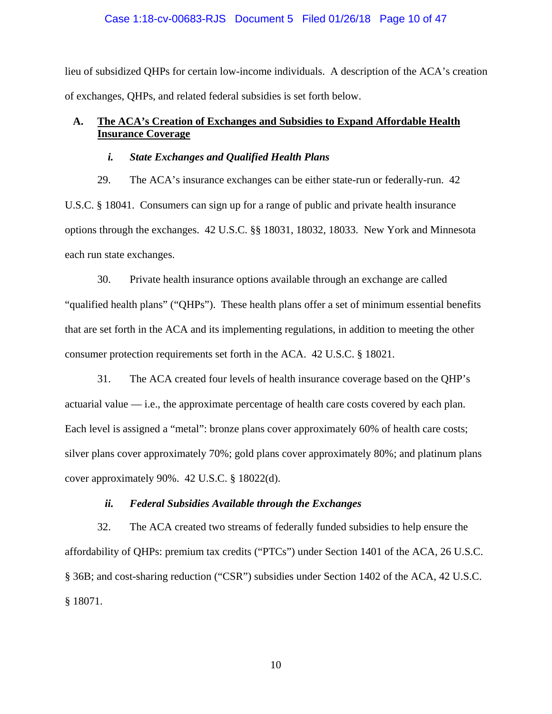## Case 1:18-cv-00683-RJS Document 5 Filed 01/26/18 Page 10 of 47

lieu of subsidized QHPs for certain low-income individuals. A description of the ACA's creation of exchanges, QHPs, and related federal subsidies is set forth below.

# **A. The ACA's Creation of Exchanges and Subsidies to Expand Affordable Health Insurance Coverage**

# *i. State Exchanges and Qualified Health Plans*

29. The ACA's insurance exchanges can be either state-run or federally-run. 42 U.S.C. § 18041. Consumers can sign up for a range of public and private health insurance options through the exchanges. 42 U.S.C. §§ 18031, 18032, 18033. New York and Minnesota each run state exchanges.

30. Private health insurance options available through an exchange are called "qualified health plans" ("QHPs"). These health plans offer a set of minimum essential benefits that are set forth in the ACA and its implementing regulations, in addition to meeting the other consumer protection requirements set forth in the ACA. 42 U.S.C. § 18021.

31. The ACA created four levels of health insurance coverage based on the QHP's actuarial value  $\frac{d}{dx}$  i.e., the approximate percentage of health care costs covered by each plan. Each level is assigned a "metal": bronze plans cover approximately 60% of health care costs; silver plans cover approximately 70%; gold plans cover approximately 80%; and platinum plans cover approximately 90%. 42 U.S.C. § 18022(d).

## *ii. Federal Subsidies Available through the Exchanges*

32. The ACA created two streams of federally funded subsidies to help ensure the affordability of QHPs: premium tax credits ("PTCs") under Section 1401 of the ACA, 26 U.S.C. § 36B; and cost-sharing reduction ("CSR") subsidies under Section 1402 of the ACA, 42 U.S.C. § 18071.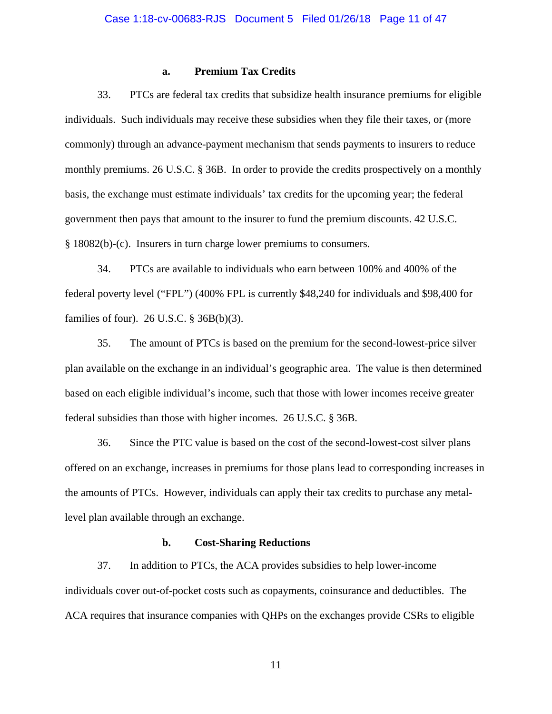## **a. Premium Tax Credits**

33. PTCs are federal tax credits that subsidize health insurance premiums for eligible individuals. Such individuals may receive these subsidies when they file their taxes, or (more commonly) through an advance-payment mechanism that sends payments to insurers to reduce monthly premiums. 26 U.S.C. § 36B. In order to provide the credits prospectively on a monthly basis, the exchange must estimate individuals' tax credits for the upcoming year; the federal government then pays that amount to the insurer to fund the premium discounts. 42 U.S.C. § 18082(b)-(c). Insurers in turn charge lower premiums to consumers.

34. PTCs are available to individuals who earn between 100% and 400% of the federal poverty level ("FPL") (400% FPL is currently \$48,240 for individuals and \$98,400 for families of four). 26 U.S.C. § 36B(b)(3).

35. The amount of PTCs is based on the premium for the second-lowest-price silver plan available on the exchange in an individual's geographic area. The value is then determined based on each eligible individual's income, such that those with lower incomes receive greater federal subsidies than those with higher incomes. 26 U.S.C. § 36B.

36. Since the PTC value is based on the cost of the second-lowest-cost silver plans offered on an exchange, increases in premiums for those plans lead to corresponding increases in the amounts of PTCs. However, individuals can apply their tax credits to purchase any metallevel plan available through an exchange.

### **b. Cost-Sharing Reductions**

37. In addition to PTCs, the ACA provides subsidies to help lower-income individuals cover out-of-pocket costs such as copayments, coinsurance and deductibles. The ACA requires that insurance companies with QHPs on the exchanges provide CSRs to eligible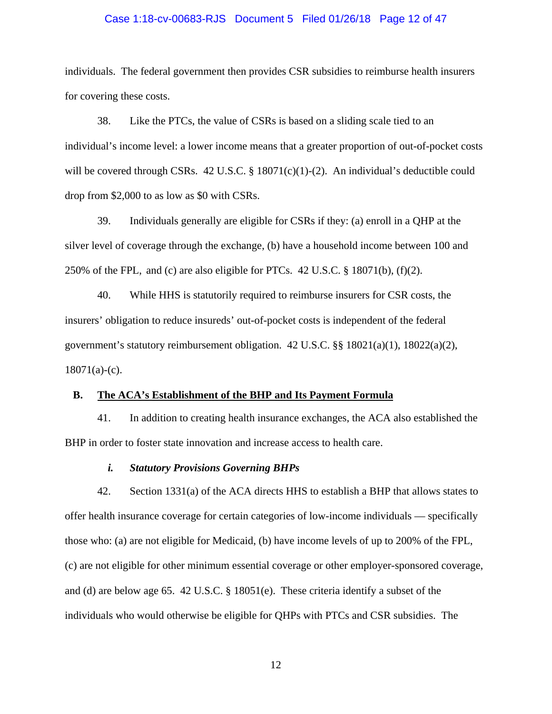#### Case 1:18-cv-00683-RJS Document 5 Filed 01/26/18 Page 12 of 47

individuals. The federal government then provides CSR subsidies to reimburse health insurers for covering these costs.

38. Like the PTCs, the value of CSRs is based on a sliding scale tied to an individual's income level: a lower income means that a greater proportion of out-of-pocket costs will be covered through CSRs.  $42 \text{ U.S.C.}$  §  $18071(c)(1)-(2)$ . An individual's deductible could drop from \$2,000 to as low as \$0 with CSRs.

39. Individuals generally are eligible for CSRs if they: (a) enroll in a QHP at the silver level of coverage through the exchange, (b) have a household income between 100 and 250% of the FPL, and (c) are also eligible for PTCs. 42 U.S.C. § 18071(b), (f)(2).

40. While HHS is statutorily required to reimburse insurers for CSR costs, the insurers' obligation to reduce insureds' out-of-pocket costs is independent of the federal government's statutory reimbursement obligation. 42 U.S.C. §§ 18021(a)(1), 18022(a)(2),  $18071(a)-(c)$ .

#### **B. The ACA's Establishment of the BHP and Its Payment Formula**

41. In addition to creating health insurance exchanges, the ACA also established the BHP in order to foster state innovation and increase access to health care.

# *i. Statutory Provisions Governing BHPs*

42. Section 1331(a) of the ACA directs HHS to establish a BHP that allows states to offer health insurance coverage for certain categories of low-income individuals — specifically those who: (a) are not eligible for Medicaid, (b) have income levels of up to 200% of the FPL, (c) are not eligible for other minimum essential coverage or other employer-sponsored coverage, and (d) are below age 65. 42 U.S.C. § 18051(e). These criteria identify a subset of the individuals who would otherwise be eligible for QHPs with PTCs and CSR subsidies. The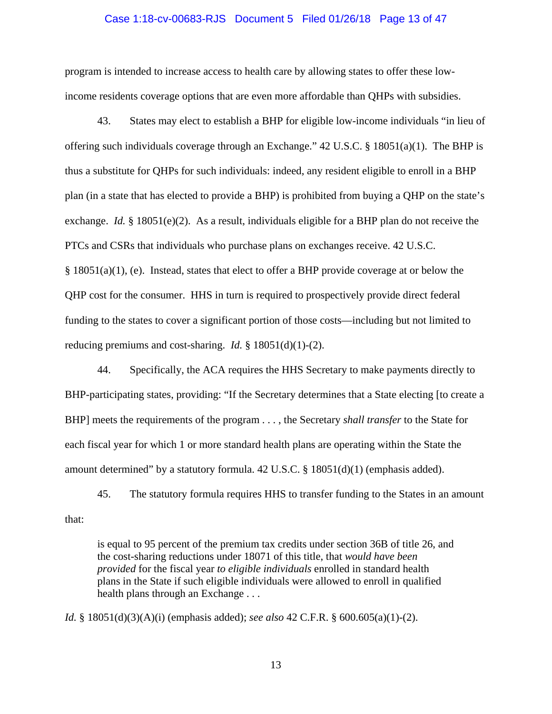#### Case 1:18-cv-00683-RJS Document 5 Filed 01/26/18 Page 13 of 47

program is intended to increase access to health care by allowing states to offer these lowincome residents coverage options that are even more affordable than QHPs with subsidies.

43. States may elect to establish a BHP for eligible low-income individuals "in lieu of offering such individuals coverage through an Exchange." 42 U.S.C. § 18051(a)(1). The BHP is thus a substitute for QHPs for such individuals: indeed, any resident eligible to enroll in a BHP plan (in a state that has elected to provide a BHP) is prohibited from buying a QHP on the state's exchange. *Id.* § 18051(e)(2). As a result, individuals eligible for a BHP plan do not receive the PTCs and CSRs that individuals who purchase plans on exchanges receive. 42 U.S.C.  $\S$  18051(a)(1), (e). Instead, states that elect to offer a BHP provide coverage at or below the QHP cost for the consumer. HHS in turn is required to prospectively provide direct federal funding to the states to cover a significant portion of those costs—including but not limited to reducing premiums and cost-sharing. *Id.* § 18051(d)(1)-(2).

44. Specifically, the ACA requires the HHS Secretary to make payments directly to BHP-participating states, providing: "If the Secretary determines that a State electing [to create a BHP] meets the requirements of the program . . . , the Secretary *shall transfer* to the State for each fiscal year for which 1 or more standard health plans are operating within the State the amount determined" by a statutory formula. 42 U.S.C. § 18051(d)(1) (emphasis added).

45. The statutory formula requires HHS to transfer funding to the States in an amount that:

is equal to 95 percent of the premium tax credits under section 36B of title 26, and the cost-sharing reductions under 18071 of this title, that *would have been provided* for the fiscal year *to eligible individuals* enrolled in standard health plans in the State if such eligible individuals were allowed to enroll in qualified health plans through an Exchange . . .

*Id.* § 18051(d)(3)(A)(i) (emphasis added); *see also* 42 C.F.R. § 600.605(a)(1)-(2).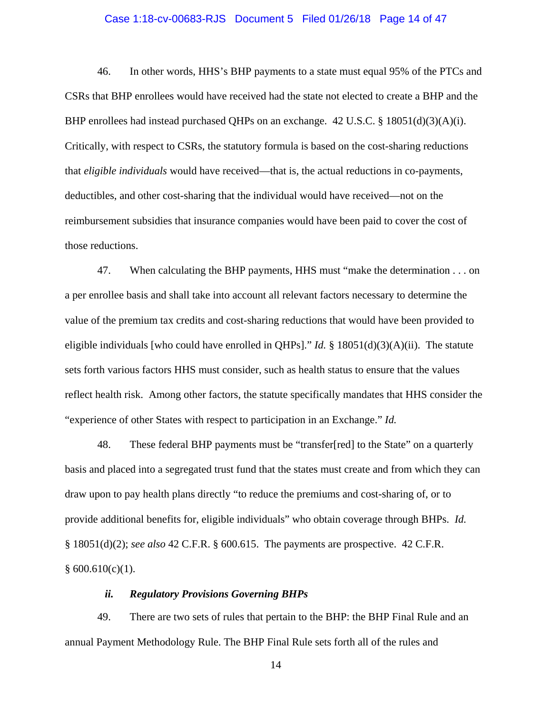#### Case 1:18-cv-00683-RJS Document 5 Filed 01/26/18 Page 14 of 47

46. In other words, HHS's BHP payments to a state must equal 95% of the PTCs and CSRs that BHP enrollees would have received had the state not elected to create a BHP and the BHP enrollees had instead purchased QHPs on an exchange. 42 U.S.C. § 18051(d)(3)(A)(i). Critically, with respect to CSRs, the statutory formula is based on the cost-sharing reductions that *eligible individuals* would have received—that is, the actual reductions in co-payments, deductibles, and other cost-sharing that the individual would have received—not on the reimbursement subsidies that insurance companies would have been paid to cover the cost of those reductions.

47. When calculating the BHP payments, HHS must "make the determination . . . on a per enrollee basis and shall take into account all relevant factors necessary to determine the value of the premium tax credits and cost-sharing reductions that would have been provided to eligible individuals [who could have enrolled in QHPs]." *Id.* § 18051(d)(3)(A)(ii).The statute sets forth various factors HHS must consider, such as health status to ensure that the values reflect health risk. Among other factors, the statute specifically mandates that HHS consider the "experience of other States with respect to participation in an Exchange." *Id.* 

48. These federal BHP payments must be "transfer[red] to the State" on a quarterly basis and placed into a segregated trust fund that the states must create and from which they can draw upon to pay health plans directly "to reduce the premiums and cost-sharing of, or to provide additional benefits for, eligible individuals" who obtain coverage through BHPs. *Id.* § 18051(d)(2); *see also* 42 C.F.R. § 600.615. The payments are prospective. 42 C.F.R.  $§ 600.610(c)(1).$ 

## *ii. Regulatory Provisions Governing BHPs*

49. There are two sets of rules that pertain to the BHP: the BHP Final Rule and an annual Payment Methodology Rule. The BHP Final Rule sets forth all of the rules and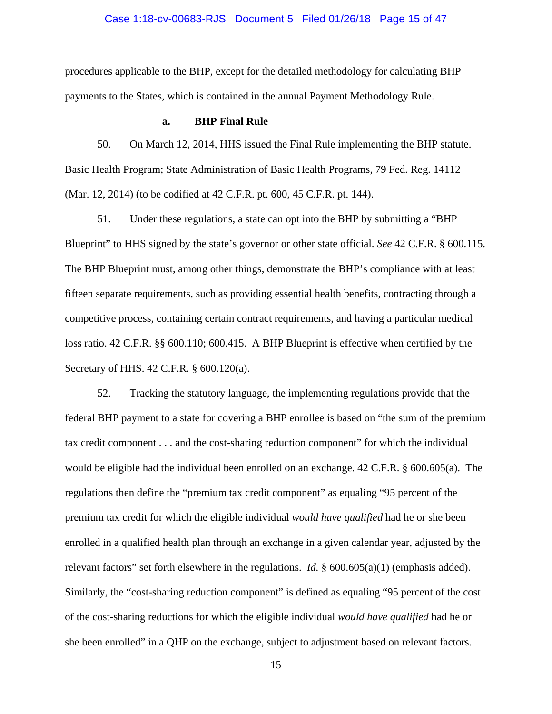#### Case 1:18-cv-00683-RJS Document 5 Filed 01/26/18 Page 15 of 47

procedures applicable to the BHP, except for the detailed methodology for calculating BHP payments to the States, which is contained in the annual Payment Methodology Rule.

#### **a. BHP Final Rule**

50. On March 12, 2014, HHS issued the Final Rule implementing the BHP statute. Basic Health Program; State Administration of Basic Health Programs, 79 Fed. Reg. 14112 (Mar. 12, 2014) (to be codified at 42 C.F.R. pt. 600, 45 C.F.R. pt. 144).

51. Under these regulations, a state can opt into the BHP by submitting a "BHP Blueprint" to HHS signed by the state's governor or other state official. *See* 42 C.F.R. § 600.115. The BHP Blueprint must, among other things, demonstrate the BHP's compliance with at least fifteen separate requirements, such as providing essential health benefits, contracting through a competitive process, containing certain contract requirements, and having a particular medical loss ratio. 42 C.F.R. §§ 600.110; 600.415. A BHP Blueprint is effective when certified by the Secretary of HHS. 42 C.F.R. § 600.120(a).

52. Tracking the statutory language, the implementing regulations provide that the federal BHP payment to a state for covering a BHP enrollee is based on "the sum of the premium tax credit component . . . and the cost-sharing reduction component" for which the individual would be eligible had the individual been enrolled on an exchange. 42 C.F.R. § 600.605(a). The regulations then define the "premium tax credit component" as equaling "95 percent of the premium tax credit for which the eligible individual *would have qualified* had he or she been enrolled in a qualified health plan through an exchange in a given calendar year, adjusted by the relevant factors" set forth elsewhere in the regulations. *Id.* § 600.605(a)(1) (emphasis added). Similarly, the "cost-sharing reduction component" is defined as equaling "95 percent of the cost of the cost-sharing reductions for which the eligible individual *would have qualified* had he or she been enrolled" in a QHP on the exchange, subject to adjustment based on relevant factors.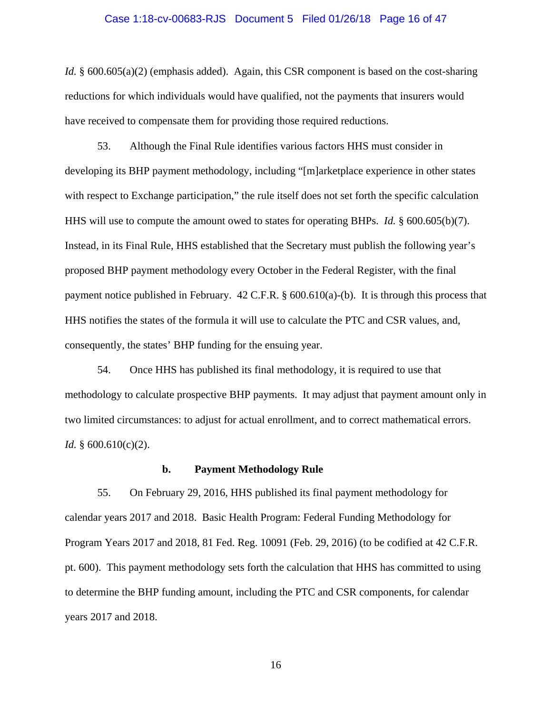#### Case 1:18-cv-00683-RJS Document 5 Filed 01/26/18 Page 16 of 47

*Id.* § 600.605(a)(2) (emphasis added). Again, this CSR component is based on the cost-sharing reductions for which individuals would have qualified, not the payments that insurers would have received to compensate them for providing those required reductions.

53. Although the Final Rule identifies various factors HHS must consider in developing its BHP payment methodology, including "[m]arketplace experience in other states with respect to Exchange participation," the rule itself does not set forth the specific calculation HHS will use to compute the amount owed to states for operating BHPs. *Id.* § 600.605(b)(7). Instead, in its Final Rule, HHS established that the Secretary must publish the following year's proposed BHP payment methodology every October in the Federal Register, with the final payment notice published in February. 42 C.F.R. § 600.610(a)-(b). It is through this process that HHS notifies the states of the formula it will use to calculate the PTC and CSR values, and, consequently, the states' BHP funding for the ensuing year.

54. Once HHS has published its final methodology, it is required to use that methodology to calculate prospective BHP payments. It may adjust that payment amount only in two limited circumstances: to adjust for actual enrollment, and to correct mathematical errors. *Id.* § 600.610(c)(2).

#### **b. Payment Methodology Rule**

55. On February 29, 2016, HHS published its final payment methodology for calendar years 2017 and 2018. Basic Health Program: Federal Funding Methodology for Program Years 2017 and 2018, 81 Fed. Reg. 10091 (Feb. 29, 2016) (to be codified at 42 C.F.R. pt. 600). This payment methodology sets forth the calculation that HHS has committed to using to determine the BHP funding amount, including the PTC and CSR components, for calendar years 2017 and 2018.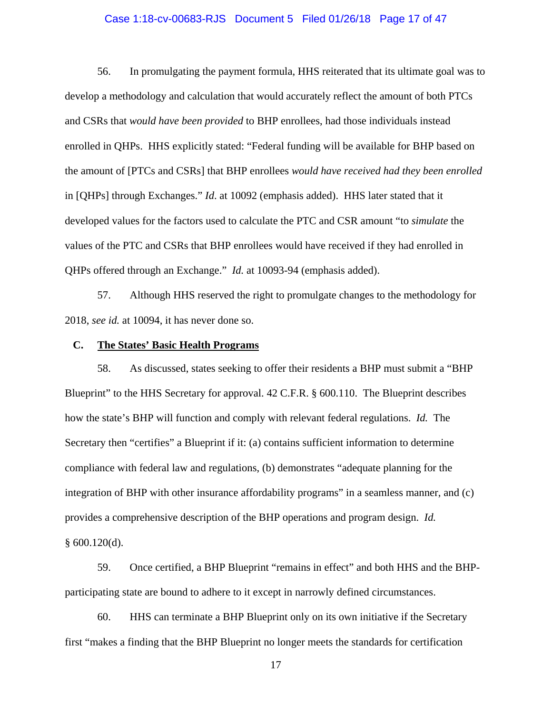### Case 1:18-cv-00683-RJS Document 5 Filed 01/26/18 Page 17 of 47

56. In promulgating the payment formula, HHS reiterated that its ultimate goal was to develop a methodology and calculation that would accurately reflect the amount of both PTCs and CSRs that *would have been provided* to BHP enrollees, had those individuals instead enrolled in QHPs. HHS explicitly stated: "Federal funding will be available for BHP based on the amount of [PTCs and CSRs] that BHP enrollees *would have received had they been enrolled* in [QHPs] through Exchanges." *Id*. at 10092 (emphasis added). HHS later stated that it developed values for the factors used to calculate the PTC and CSR amount "to *simulate* the values of the PTC and CSRs that BHP enrollees would have received if they had enrolled in QHPs offered through an Exchange." *Id.* at 10093-94 (emphasis added).

57. Although HHS reserved the right to promulgate changes to the methodology for 2018, *see id.* at 10094, it has never done so.

### **C. The States' Basic Health Programs**

58. As discussed, states seeking to offer their residents a BHP must submit a "BHP Blueprint" to the HHS Secretary for approval. 42 C.F.R. § 600.110. The Blueprint describes how the state's BHP will function and comply with relevant federal regulations. *Id.* The Secretary then "certifies" a Blueprint if it: (a) contains sufficient information to determine compliance with federal law and regulations, (b) demonstrates "adequate planning for the integration of BHP with other insurance affordability programs" in a seamless manner, and (c) provides a comprehensive description of the BHP operations and program design. *Id.*  $§ 600.120(d).$ 

59. Once certified, a BHP Blueprint "remains in effect" and both HHS and the BHPparticipating state are bound to adhere to it except in narrowly defined circumstances.

60. HHS can terminate a BHP Blueprint only on its own initiative if the Secretary first "makes a finding that the BHP Blueprint no longer meets the standards for certification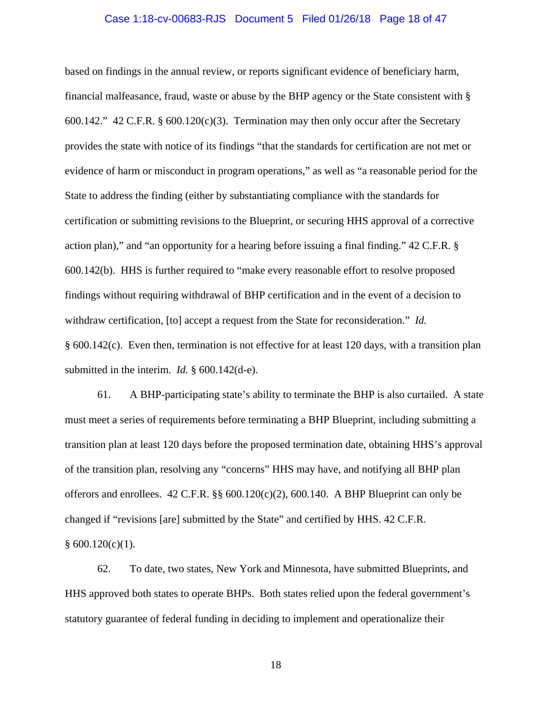#### Case 1:18-cv-00683-RJS Document 5 Filed 01/26/18 Page 18 of 47

based on findings in the annual review, or reports significant evidence of beneficiary harm, financial malfeasance, fraud, waste or abuse by the BHP agency or the State consistent with § 600.142." 42 C.F.R. § 600.120(c)(3). Termination may then only occur after the Secretary provides the state with notice of its findings "that the standards for certification are not met or evidence of harm or misconduct in program operations," as well as "a reasonable period for the State to address the finding (either by substantiating compliance with the standards for certification or submitting revisions to the Blueprint, or securing HHS approval of a corrective action plan)," and "an opportunity for a hearing before issuing a final finding." 42 C.F.R. § 600.142(b). HHS is further required to "make every reasonable effort to resolve proposed findings without requiring withdrawal of BHP certification and in the event of a decision to withdraw certification, [to] accept a request from the State for reconsideration." *Id.*  § 600.142(c). Even then, termination is not effective for at least 120 days, with a transition plan submitted in the interim. *Id.* § 600.142(d-e).

61. A BHP-participating state's ability to terminate the BHP is also curtailed. A state must meet a series of requirements before terminating a BHP Blueprint, including submitting a transition plan at least 120 days before the proposed termination date, obtaining HHS's approval of the transition plan, resolving any "concerns" HHS may have, and notifying all BHP plan offerors and enrollees. 42 C.F.R. §§ 600.120(c)(2), 600.140. A BHP Blueprint can only be changed if "revisions [are] submitted by the State" and certified by HHS. 42 C.F.R.  $§ 600.120(c)(1).$ 

62. To date, two states, New York and Minnesota, have submitted Blueprints, and HHS approved both states to operate BHPs. Both states relied upon the federal government's statutory guarantee of federal funding in deciding to implement and operationalize their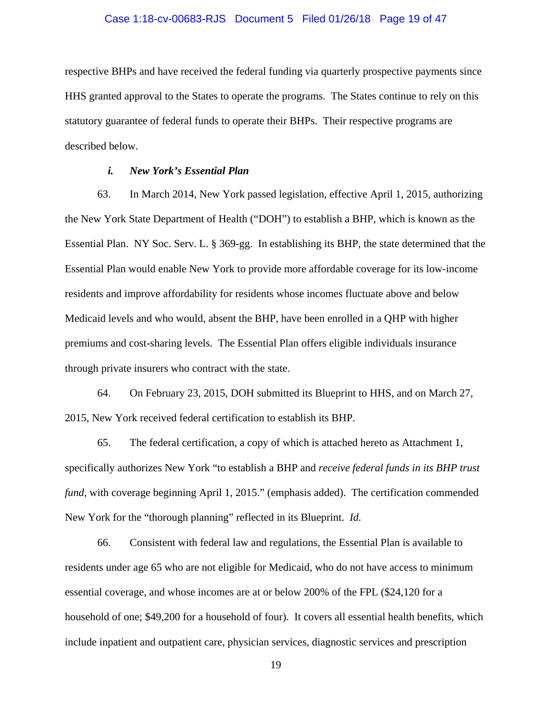#### Case 1:18-cv-00683-RJS Document 5 Filed 01/26/18 Page 19 of 47

respective BHPs and have received the federal funding via quarterly prospective payments since HHS granted approval to the States to operate the programs. The States continue to rely on this statutory guarantee of federal funds to operate their BHPs. Their respective programs are described below.

## *i. New York's Essential Plan*

63. In March 2014, New York passed legislation, effective April 1, 2015, authorizing the New York State Department of Health ("DOH") to establish a BHP, which is known as the Essential Plan. NY Soc. Serv. L. § 369-gg. In establishing its BHP, the state determined that the Essential Plan would enable New York to provide more affordable coverage for its low-income residents and improve affordability for residents whose incomes fluctuate above and below Medicaid levels and who would, absent the BHP, have been enrolled in a QHP with higher premiums and cost-sharing levels. The Essential Plan offers eligible individuals insurance through private insurers who contract with the state.

64. On February 23, 2015, DOH submitted its Blueprint to HHS, and on March 27, 2015, New York received federal certification to establish its BHP.

65. The federal certification, a copy of which is attached hereto as Attachment 1, specifically authorizes New York "to establish a BHP and *receive federal funds in its BHP trust fund*, with coverage beginning April 1, 2015." (emphasis added). The certification commended New York for the "thorough planning" reflected in its Blueprint. *Id.*

66. Consistent with federal law and regulations, the Essential Plan is available to residents under age 65 who are not eligible for Medicaid, who do not have access to minimum essential coverage, and whose incomes are at or below 200% of the FPL (\$24,120 for a household of one; \$49,200 for a household of four). It covers all essential health benefits, which include inpatient and outpatient care, physician services, diagnostic services and prescription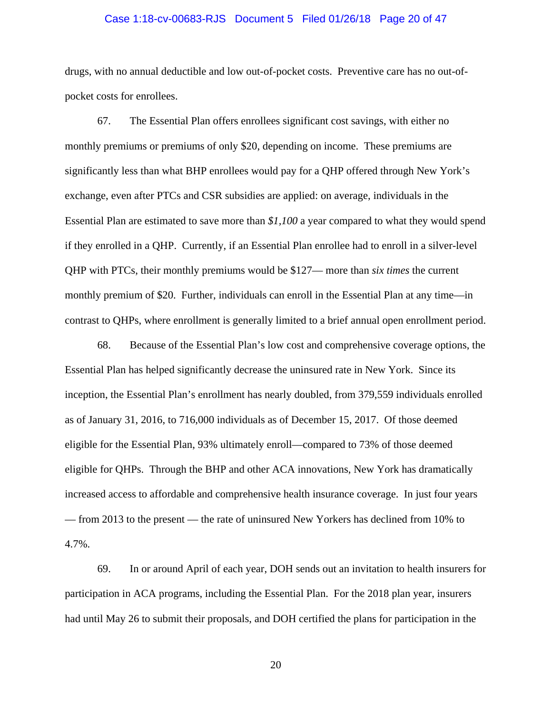#### Case 1:18-cv-00683-RJS Document 5 Filed 01/26/18 Page 20 of 47

drugs, with no annual deductible and low out-of-pocket costs. Preventive care has no out-ofpocket costs for enrollees.

67. The Essential Plan offers enrollees significant cost savings, with either no monthly premiums or premiums of only \$20, depending on income. These premiums are significantly less than what BHP enrollees would pay for a QHP offered through New York's exchange, even after PTCs and CSR subsidies are applied: on average, individuals in the Essential Plan are estimated to save more than *\$1,100* a year compared to what they would spend if they enrolled in a QHP. Currently, if an Essential Plan enrollee had to enroll in a silver-level QHP with PTCs, their monthly premiums would be \$127— more than *six times* the current monthly premium of \$20. Further, individuals can enroll in the Essential Plan at any time—in contrast to QHPs, where enrollment is generally limited to a brief annual open enrollment period.

68. Because of the Essential Plan's low cost and comprehensive coverage options, the Essential Plan has helped significantly decrease the uninsured rate in New York. Since its inception, the Essential Plan's enrollment has nearly doubled, from 379,559 individuals enrolled as of January 31, 2016, to 716,000 individuals as of December 15, 2017. Of those deemed eligible for the Essential Plan, 93% ultimately enroll—compared to 73% of those deemed eligible for QHPs. Through the BHP and other ACA innovations, New York has dramatically increased access to affordable and comprehensive health insurance coverage. In just four years — from 2013 to the present — the rate of uninsured New Yorkers has declined from 10% to 4.7%.

69. In or around April of each year, DOH sends out an invitation to health insurers for participation in ACA programs, including the Essential Plan. For the 2018 plan year, insurers had until May 26 to submit their proposals, and DOH certified the plans for participation in the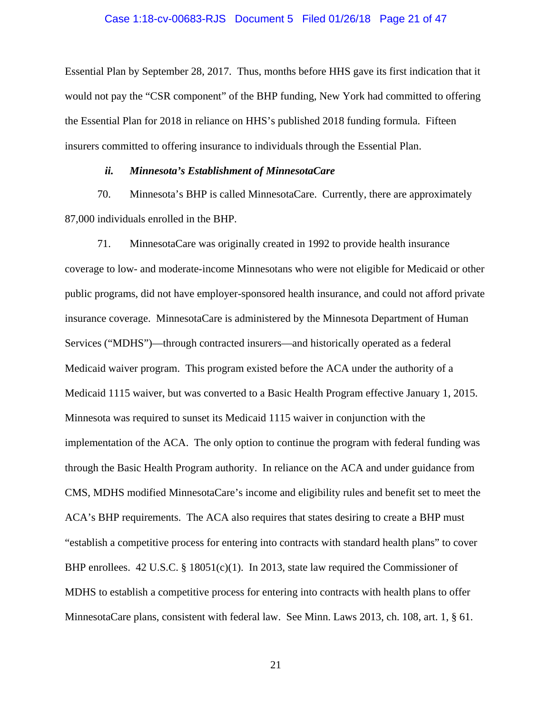#### Case 1:18-cv-00683-RJS Document 5 Filed 01/26/18 Page 21 of 47

Essential Plan by September 28, 2017. Thus, months before HHS gave its first indication that it would not pay the "CSR component" of the BHP funding, New York had committed to offering the Essential Plan for 2018 in reliance on HHS's published 2018 funding formula. Fifteen insurers committed to offering insurance to individuals through the Essential Plan.

### *ii. Minnesota's Establishment of MinnesotaCare*

70. Minnesota's BHP is called MinnesotaCare. Currently, there are approximately 87,000 individuals enrolled in the BHP.

71. MinnesotaCare was originally created in 1992 to provide health insurance coverage to low- and moderate-income Minnesotans who were not eligible for Medicaid or other public programs, did not have employer-sponsored health insurance, and could not afford private insurance coverage. MinnesotaCare is administered by the Minnesota Department of Human Services ("MDHS")—through contracted insurers—and historically operated as a federal Medicaid waiver program. This program existed before the ACA under the authority of a Medicaid 1115 waiver, but was converted to a Basic Health Program effective January 1, 2015. Minnesota was required to sunset its Medicaid 1115 waiver in conjunction with the implementation of the ACA. The only option to continue the program with federal funding was through the Basic Health Program authority. In reliance on the ACA and under guidance from CMS, MDHS modified MinnesotaCare's income and eligibility rules and benefit set to meet the ACA's BHP requirements. The ACA also requires that states desiring to create a BHP must "establish a competitive process for entering into contracts with standard health plans" to cover BHP enrollees. 42 U.S.C. § 18051(c)(1). In 2013, state law required the Commissioner of MDHS to establish a competitive process for entering into contracts with health plans to offer MinnesotaCare plans, consistent with federal law. See Minn. Laws 2013, ch. 108, art. 1, § 61.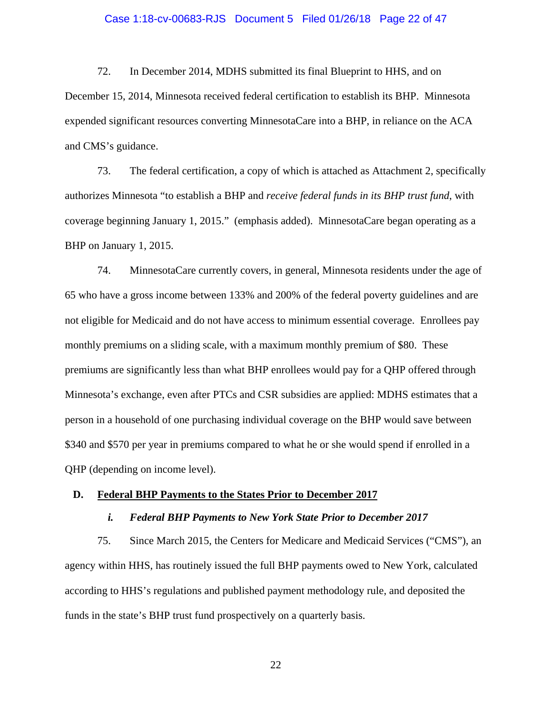#### Case 1:18-cv-00683-RJS Document 5 Filed 01/26/18 Page 22 of 47

72. In December 2014, MDHS submitted its final Blueprint to HHS, and on December 15, 2014, Minnesota received federal certification to establish its BHP. Minnesota expended significant resources converting MinnesotaCare into a BHP, in reliance on the ACA and CMS's guidance.

73. The federal certification, a copy of which is attached as Attachment 2, specifically authorizes Minnesota "to establish a BHP and *receive federal funds in its BHP trust fund*, with coverage beginning January 1, 2015." (emphasis added). MinnesotaCare began operating as a BHP on January 1, 2015.

74. MinnesotaCare currently covers, in general, Minnesota residents under the age of 65 who have a gross income between 133% and 200% of the federal poverty guidelines and are not eligible for Medicaid and do not have access to minimum essential coverage. Enrollees pay monthly premiums on a sliding scale, with a maximum monthly premium of \$80. These premiums are significantly less than what BHP enrollees would pay for a QHP offered through Minnesota's exchange, even after PTCs and CSR subsidies are applied: MDHS estimates that a person in a household of one purchasing individual coverage on the BHP would save between \$340 and \$570 per year in premiums compared to what he or she would spend if enrolled in a QHP (depending on income level).

#### **D. Federal BHP Payments to the States Prior to December 2017**

## *i. Federal BHP Payments to New York State Prior to December 2017*

75. Since March 2015, the Centers for Medicare and Medicaid Services ("CMS"), an agency within HHS, has routinely issued the full BHP payments owed to New York, calculated according to HHS's regulations and published payment methodology rule, and deposited the funds in the state's BHP trust fund prospectively on a quarterly basis.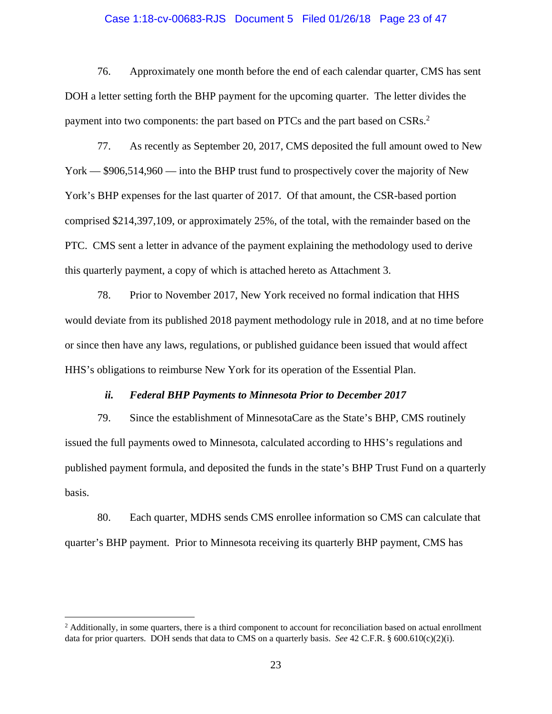#### Case 1:18-cv-00683-RJS Document 5 Filed 01/26/18 Page 23 of 47

76. Approximately one month before the end of each calendar quarter, CMS has sent DOH a letter setting forth the BHP payment for the upcoming quarter. The letter divides the payment into two components: the part based on PTCs and the part based on CSRs.<sup>2</sup>

77. As recently as September 20, 2017, CMS deposited the full amount owed to New York — \$906,514,960 — into the BHP trust fund to prospectively cover the majority of New York's BHP expenses for the last quarter of 2017. Of that amount, the CSR-based portion comprised \$214,397,109, or approximately 25%, of the total, with the remainder based on the PTC. CMS sent a letter in advance of the payment explaining the methodology used to derive this quarterly payment, a copy of which is attached hereto as Attachment 3.

78. Prior to November 2017, New York received no formal indication that HHS would deviate from its published 2018 payment methodology rule in 2018, and at no time before or since then have any laws, regulations, or published guidance been issued that would affect HHS's obligations to reimburse New York for its operation of the Essential Plan.

#### *ii. Federal BHP Payments to Minnesota Prior to December 2017*

79. Since the establishment of MinnesotaCare as the State's BHP, CMS routinely issued the full payments owed to Minnesota, calculated according to HHS's regulations and published payment formula, and deposited the funds in the state's BHP Trust Fund on a quarterly basis.

80. Each quarter, MDHS sends CMS enrollee information so CMS can calculate that quarter's BHP payment. Prior to Minnesota receiving its quarterly BHP payment, CMS has

<sup>&</sup>lt;sup>2</sup> Additionally, in some quarters, there is a third component to account for reconciliation based on actual enrollment data for prior quarters. DOH sends that data to CMS on a quarterly basis. *See* 42 C.F.R. § 600.610(c)(2)(i).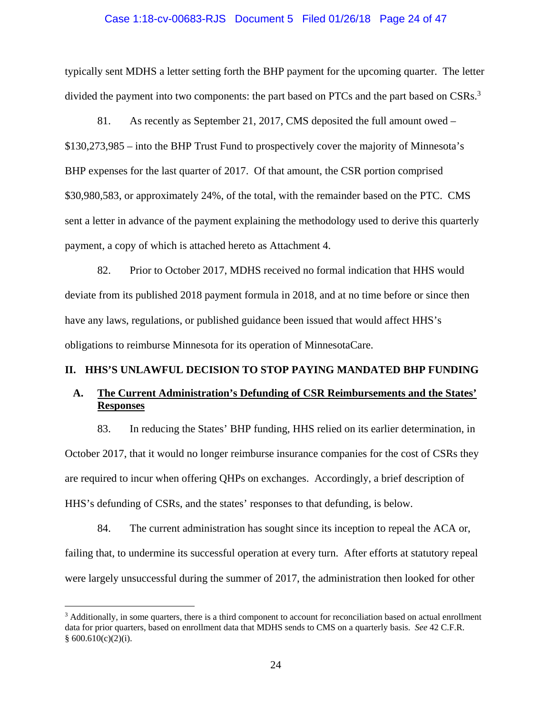#### Case 1:18-cv-00683-RJS Document 5 Filed 01/26/18 Page 24 of 47

typically sent MDHS a letter setting forth the BHP payment for the upcoming quarter. The letter divided the payment into two components: the part based on PTCs and the part based on CSRs.<sup>3</sup>

81. As recently as September 21, 2017, CMS deposited the full amount owed – \$130,273,985 – into the BHP Trust Fund to prospectively cover the majority of Minnesota's BHP expenses for the last quarter of 2017. Of that amount, the CSR portion comprised \$30,980,583, or approximately 24%, of the total, with the remainder based on the PTC. CMS sent a letter in advance of the payment explaining the methodology used to derive this quarterly payment, a copy of which is attached hereto as Attachment 4.

82. Prior to October 2017, MDHS received no formal indication that HHS would deviate from its published 2018 payment formula in 2018, and at no time before or since then have any laws, regulations, or published guidance been issued that would affect HHS's obligations to reimburse Minnesota for its operation of MinnesotaCare.

## **II. HHS'S UNLAWFUL DECISION TO STOP PAYING MANDATED BHP FUNDING**

# **A. The Current Administration's Defunding of CSR Reimbursements and the States' Responses**

83. In reducing the States' BHP funding, HHS relied on its earlier determination, in October 2017, that it would no longer reimburse insurance companies for the cost of CSRs they are required to incur when offering QHPs on exchanges. Accordingly, a brief description of HHS's defunding of CSRs, and the states' responses to that defunding, is below.

84. The current administration has sought since its inception to repeal the ACA or, failing that, to undermine its successful operation at every turn. After efforts at statutory repeal were largely unsuccessful during the summer of 2017, the administration then looked for other

<u>.</u>

<sup>&</sup>lt;sup>3</sup> Additionally, in some quarters, there is a third component to account for reconciliation based on actual enrollment data for prior quarters, based on enrollment data that MDHS sends to CMS on a quarterly basis. *See* 42 C.F.R.  $§ 600.610(c)(2)(i).$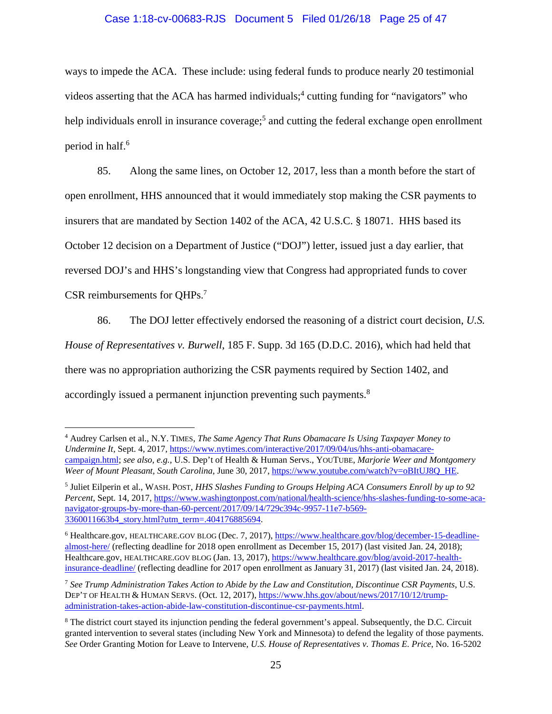## Case 1:18-cv-00683-RJS Document 5 Filed 01/26/18 Page 25 of 47

ways to impede the ACA. These include: using federal funds to produce nearly 20 testimonial videos asserting that the ACA has harmed individuals;<sup>4</sup> cutting funding for "navigators" who help individuals enroll in insurance coverage;<sup>5</sup> and cutting the federal exchange open enrollment period in half.<sup>6</sup>

85. Along the same lines, on October 12, 2017, less than a month before the start of open enrollment, HHS announced that it would immediately stop making the CSR payments to insurers that are mandated by Section 1402 of the ACA, 42 U.S.C. § 18071. HHS based its October 12 decision on a Department of Justice ("DOJ") letter, issued just a day earlier, that reversed DOJ's and HHS's longstanding view that Congress had appropriated funds to cover CSR reimbursements for QHPs. 7

86. The DOJ letter effectively endorsed the reasoning of a district court decision, *U.S. House of Representatives v. Burwell*, 185 F. Supp. 3d 165 (D.D.C. 2016), which had held that there was no appropriation authorizing the CSR payments required by Section 1402, and accordingly issued a permanent injunction preventing such payments.<sup>8</sup>

<u>.</u>

<sup>4</sup> Audrey Carlsen et al., N.Y. TIMES, *The Same Agency That Runs Obamacare Is Using Taxpayer Money to Undermine It,* Sept. 4, 2017, https://www.nytimes.com/interactive/2017/09/04/us/hhs-anti-obamacarecampaign.html; *see also, e.g.*, U.S. Dep't of Health & Human Servs., YOUTUBE, *Marjorie Weer and Montgomery Weer of Mount Pleasant, South Carolina*, June 30, 2017, https://www.youtube.com/watch?v=oBItUJ8Q\_HE.

<sup>5</sup> Juliet Eilperin et al., WASH. POST, *HHS Slashes Funding to Groups Helping ACA Consumers Enroll by up to 92 Percent*, Sept. 14, 2017, https://www.washingtonpost.com/national/health-science/hhs-slashes-funding-to-some-acanavigator-groups-by-more-than-60-percent/2017/09/14/729c394c-9957-11e7-b569- 3360011663b4\_story.html?utm\_term=.404176885694.

<sup>&</sup>lt;sup>6</sup> Healthcare.gov, HEALTHCARE.GOV BLOG (Dec. 7, 2017), https://www.healthcare.gov/blog/december-15-deadlinealmost-here/ (reflecting deadline for 2018 open enrollment as December 15, 2017) (last visited Jan. 24, 2018); Healthcare.gov, HEALTHCARE.GOV BLOG (Jan. 13, 2017), https://www.healthcare.gov/blog/avoid-2017-healthinsurance-deadline/ (reflecting deadline for 2017 open enrollment as January 31, 2017) (last visited Jan. 24, 2018).

<sup>7</sup> *See Trump Administration Takes Action to Abide by the Law and Constitution, Discontinue CSR Payments*, U.S. DEP'T OF HEALTH & HUMAN SERVS. (Oct. 12, 2017), https://www.hhs.gov/about/news/2017/10/12/trumpadministration-takes-action-abide-law-constitution-discontinue-csr-payments.html.

<sup>&</sup>lt;sup>8</sup> The district court stayed its injunction pending the federal government's appeal. Subsequently, the D.C. Circuit granted intervention to several states (including New York and Minnesota) to defend the legality of those payments. *See* Order Granting Motion for Leave to Intervene, *U.S. House of Representatives v. Thomas E. Price*, No. 16-5202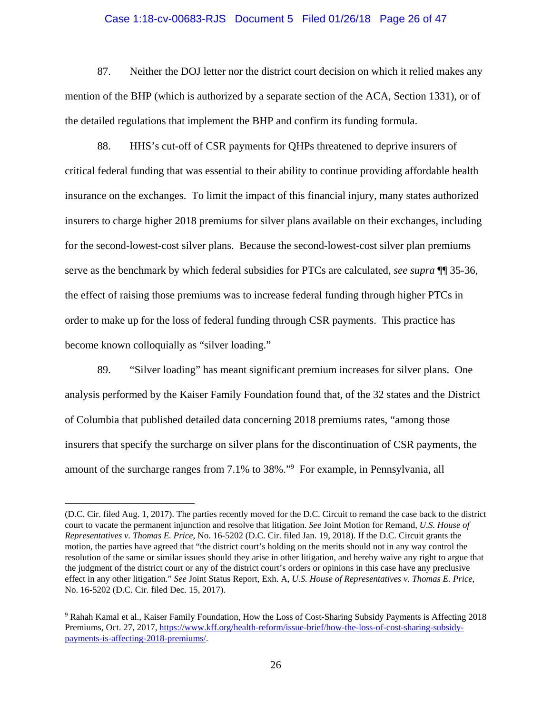#### Case 1:18-cv-00683-RJS Document 5 Filed 01/26/18 Page 26 of 47

87. Neither the DOJ letter nor the district court decision on which it relied makes any mention of the BHP (which is authorized by a separate section of the ACA, Section 1331), or of the detailed regulations that implement the BHP and confirm its funding formula.

88. HHS's cut-off of CSR payments for QHPs threatened to deprive insurers of critical federal funding that was essential to their ability to continue providing affordable health insurance on the exchanges. To limit the impact of this financial injury, many states authorized insurers to charge higher 2018 premiums for silver plans available on their exchanges, including for the second-lowest-cost silver plans. Because the second-lowest-cost silver plan premiums serve as the benchmark by which federal subsidies for PTCs are calculated, *see supra* ¶¶ 35-36, the effect of raising those premiums was to increase federal funding through higher PTCs in order to make up for the loss of federal funding through CSR payments. This practice has become known colloquially as "silver loading."

89. "Silver loading" has meant significant premium increases for silver plans. One analysis performed by the Kaiser Family Foundation found that, of the 32 states and the District of Columbia that published detailed data concerning 2018 premiums rates, "among those insurers that specify the surcharge on silver plans for the discontinuation of CSR payments, the amount of the surcharge ranges from 7.1% to 38%."9 For example, in Pennsylvania, all

<sup>(</sup>D.C. Cir. filed Aug. 1, 2017). The parties recently moved for the D.C. Circuit to remand the case back to the district court to vacate the permanent injunction and resolve that litigation. *See* Joint Motion for Remand, *U.S. House of Representatives v. Thomas E. Price*, No. 16-5202 (D.C. Cir. filed Jan. 19, 2018). If the D.C. Circuit grants the motion, the parties have agreed that "the district court's holding on the merits should not in any way control the resolution of the same or similar issues should they arise in other litigation, and hereby waive any right to argue that the judgment of the district court or any of the district court's orders or opinions in this case have any preclusive effect in any other litigation." *See* Joint Status Report, Exh. A, *U.S. House of Representatives v. Thomas E. Price*, No. 16-5202 (D.C. Cir. filed Dec. 15, 2017).

<sup>&</sup>lt;sup>9</sup> Rahah Kamal et al., Kaiser Family Foundation, How the Loss of Cost-Sharing Subsidy Payments is Affecting 2018 Premiums, Oct. 27, 2017, https://www.kff.org/health-reform/issue-brief/how-the-loss-of-cost-sharing-subsidypayments-is-affecting-2018-premiums/.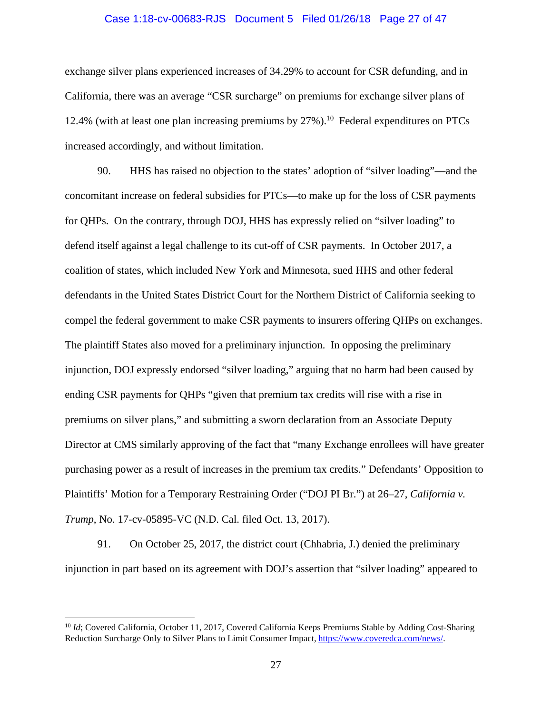#### Case 1:18-cv-00683-RJS Document 5 Filed 01/26/18 Page 27 of 47

exchange silver plans experienced increases of 34.29% to account for CSR defunding, and in California, there was an average "CSR surcharge" on premiums for exchange silver plans of 12.4% (with at least one plan increasing premiums by  $27\%$ ).<sup>10</sup> Federal expenditures on PTCs increased accordingly, and without limitation.

90. HHS has raised no objection to the states' adoption of "silver loading"—and the concomitant increase on federal subsidies for PTCs—to make up for the loss of CSR payments for QHPs. On the contrary, through DOJ, HHS has expressly relied on "silver loading" to defend itself against a legal challenge to its cut-off of CSR payments. In October 2017, a coalition of states, which included New York and Minnesota, sued HHS and other federal defendants in the United States District Court for the Northern District of California seeking to compel the federal government to make CSR payments to insurers offering QHPs on exchanges. The plaintiff States also moved for a preliminary injunction. In opposing the preliminary injunction, DOJ expressly endorsed "silver loading," arguing that no harm had been caused by ending CSR payments for QHPs "given that premium tax credits will rise with a rise in premiums on silver plans," and submitting a sworn declaration from an Associate Deputy Director at CMS similarly approving of the fact that "many Exchange enrollees will have greater purchasing power as a result of increases in the premium tax credits." Defendants' Opposition to Plaintiffs' Motion for a Temporary Restraining Order ("DOJ PI Br.") at 26–27, *California v. Trump*, No. 17-cv-05895-VC (N.D. Cal. filed Oct. 13, 2017).

91. On October 25, 2017, the district court (Chhabria, J.) denied the preliminary injunction in part based on its agreement with DOJ's assertion that "silver loading" appeared to

<sup>&</sup>lt;sup>10</sup> *Id*; Covered California, October 11, 2017, Covered California Keeps Premiums Stable by Adding Cost-Sharing Reduction Surcharge Only to Silver Plans to Limit Consumer Impact, https://www.coveredca.com/news/.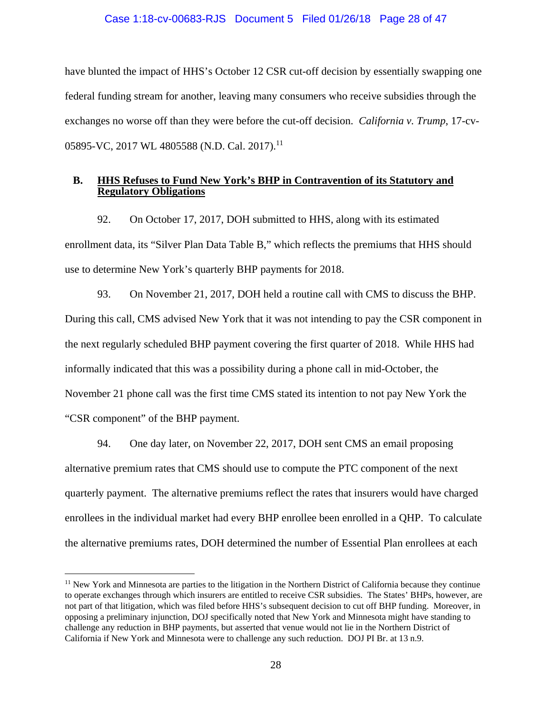## Case 1:18-cv-00683-RJS Document 5 Filed 01/26/18 Page 28 of 47

have blunted the impact of HHS's October 12 CSR cut-off decision by essentially swapping one federal funding stream for another, leaving many consumers who receive subsidies through the exchanges no worse off than they were before the cut-off decision. *California v. Trump*, 17-cv-05895-VC, 2017 WL 4805588 (N.D. Cal. 2017).<sup>11</sup>

## **B. HHS Refuses to Fund New York's BHP in Contravention of its Statutory and Regulatory Obligations**

92. On October 17, 2017, DOH submitted to HHS, along with its estimated enrollment data, its "Silver Plan Data Table B," which reflects the premiums that HHS should use to determine New York's quarterly BHP payments for 2018.

93. On November 21, 2017, DOH held a routine call with CMS to discuss the BHP. During this call, CMS advised New York that it was not intending to pay the CSR component in the next regularly scheduled BHP payment covering the first quarter of 2018. While HHS had informally indicated that this was a possibility during a phone call in mid-October, the November 21 phone call was the first time CMS stated its intention to not pay New York the "CSR component" of the BHP payment.

94. One day later, on November 22, 2017, DOH sent CMS an email proposing alternative premium rates that CMS should use to compute the PTC component of the next quarterly payment. The alternative premiums reflect the rates that insurers would have charged enrollees in the individual market had every BHP enrollee been enrolled in a QHP. To calculate the alternative premiums rates, DOH determined the number of Essential Plan enrollees at each

<sup>&</sup>lt;sup>11</sup> New York and Minnesota are parties to the litigation in the Northern District of California because they continue to operate exchanges through which insurers are entitled to receive CSR subsidies. The States' BHPs, however, are not part of that litigation, which was filed before HHS's subsequent decision to cut off BHP funding. Moreover, in opposing a preliminary injunction, DOJ specifically noted that New York and Minnesota might have standing to challenge any reduction in BHP payments, but asserted that venue would not lie in the Northern District of California if New York and Minnesota were to challenge any such reduction. DOJ PI Br. at 13 n.9.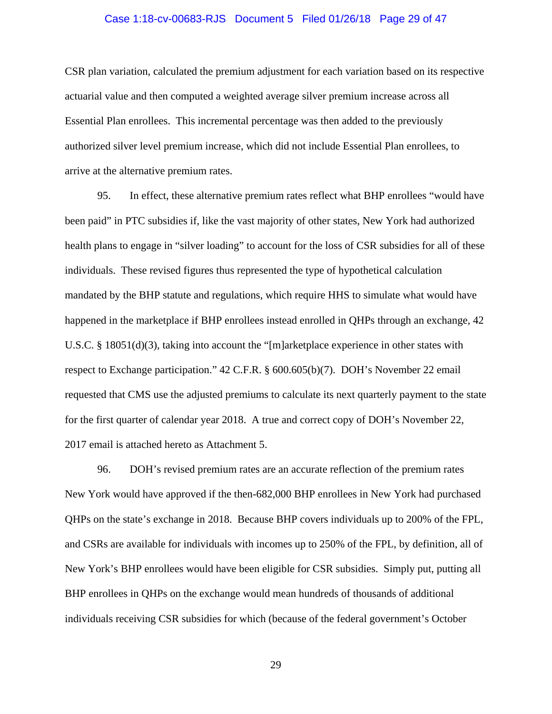#### Case 1:18-cv-00683-RJS Document 5 Filed 01/26/18 Page 29 of 47

CSR plan variation, calculated the premium adjustment for each variation based on its respective actuarial value and then computed a weighted average silver premium increase across all Essential Plan enrollees. This incremental percentage was then added to the previously authorized silver level premium increase, which did not include Essential Plan enrollees, to arrive at the alternative premium rates.

95. In effect, these alternative premium rates reflect what BHP enrollees "would have been paid" in PTC subsidies if, like the vast majority of other states, New York had authorized health plans to engage in "silver loading" to account for the loss of CSR subsidies for all of these individuals. These revised figures thus represented the type of hypothetical calculation mandated by the BHP statute and regulations, which require HHS to simulate what would have happened in the marketplace if BHP enrollees instead enrolled in QHPs through an exchange, 42 U.S.C. § 18051(d)(3), taking into account the "[m]arketplace experience in other states with respect to Exchange participation." 42 C.F.R. § 600.605(b)(7). DOH's November 22 email requested that CMS use the adjusted premiums to calculate its next quarterly payment to the state for the first quarter of calendar year 2018. A true and correct copy of DOH's November 22, 2017 email is attached hereto as Attachment 5.

96. DOH's revised premium rates are an accurate reflection of the premium rates New York would have approved if the then-682,000 BHP enrollees in New York had purchased QHPs on the state's exchange in 2018. Because BHP covers individuals up to 200% of the FPL, and CSRs are available for individuals with incomes up to 250% of the FPL, by definition, all of New York's BHP enrollees would have been eligible for CSR subsidies. Simply put, putting all BHP enrollees in QHPs on the exchange would mean hundreds of thousands of additional individuals receiving CSR subsidies for which (because of the federal government's October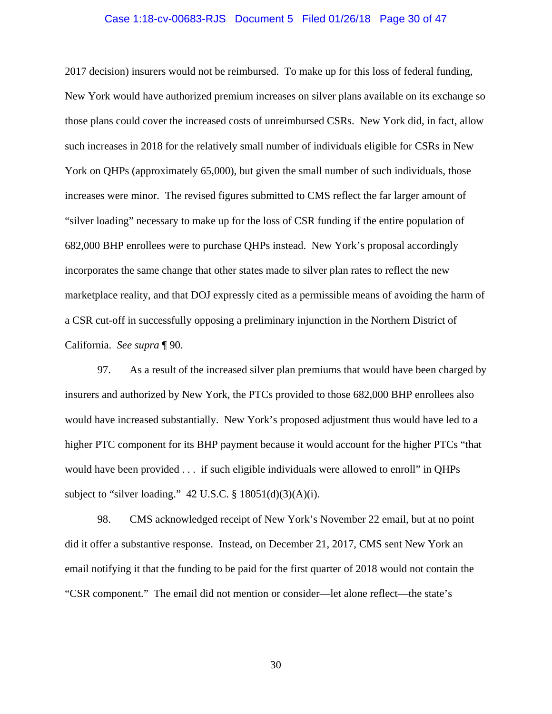#### Case 1:18-cv-00683-RJS Document 5 Filed 01/26/18 Page 30 of 47

2017 decision) insurers would not be reimbursed. To make up for this loss of federal funding, New York would have authorized premium increases on silver plans available on its exchange so those plans could cover the increased costs of unreimbursed CSRs. New York did, in fact, allow such increases in 2018 for the relatively small number of individuals eligible for CSRs in New York on QHPs (approximately 65,000), but given the small number of such individuals, those increases were minor. The revised figures submitted to CMS reflect the far larger amount of "silver loading" necessary to make up for the loss of CSR funding if the entire population of 682,000 BHP enrollees were to purchase QHPs instead. New York's proposal accordingly incorporates the same change that other states made to silver plan rates to reflect the new marketplace reality, and that DOJ expressly cited as a permissible means of avoiding the harm of a CSR cut-off in successfully opposing a preliminary injunction in the Northern District of California. *See supra* ¶ 90.

97. As a result of the increased silver plan premiums that would have been charged by insurers and authorized by New York, the PTCs provided to those 682,000 BHP enrollees also would have increased substantially. New York's proposed adjustment thus would have led to a higher PTC component for its BHP payment because it would account for the higher PTCs "that would have been provided . . . if such eligible individuals were allowed to enroll" in QHPs subject to "silver loading."  $42$  U.S.C. § 18051(d)(3)(A)(i).

98. CMS acknowledged receipt of New York's November 22 email, but at no point did it offer a substantive response. Instead, on December 21, 2017, CMS sent New York an email notifying it that the funding to be paid for the first quarter of 2018 would not contain the "CSR component." The email did not mention or consider—let alone reflect—the state's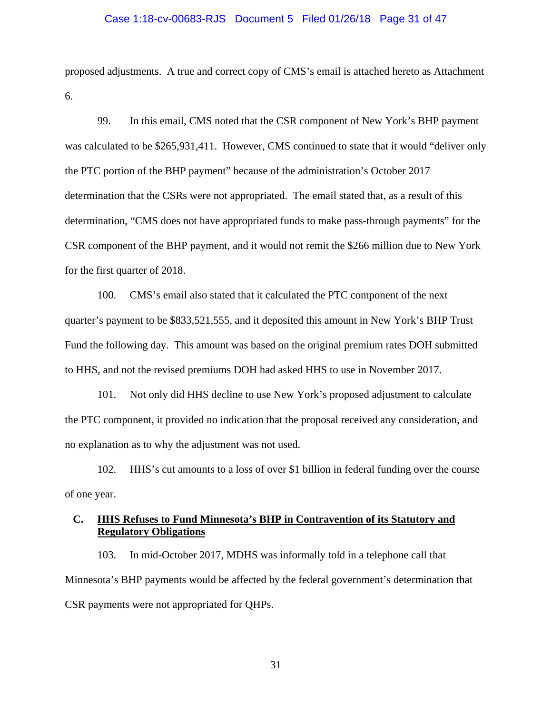#### Case 1:18-cv-00683-RJS Document 5 Filed 01/26/18 Page 31 of 47

proposed adjustments. A true and correct copy of CMS's email is attached hereto as Attachment 6.

99. In this email, CMS noted that the CSR component of New York's BHP payment was calculated to be \$265,931,411. However, CMS continued to state that it would "deliver only the PTC portion of the BHP payment" because of the administration's October 2017 determination that the CSRs were not appropriated. The email stated that, as a result of this determination, "CMS does not have appropriated funds to make pass-through payments" for the CSR component of the BHP payment, and it would not remit the \$266 million due to New York for the first quarter of 2018.

100. CMS's email also stated that it calculated the PTC component of the next quarter's payment to be \$833,521,555, and it deposited this amount in New York's BHP Trust Fund the following day. This amount was based on the original premium rates DOH submitted to HHS, and not the revised premiums DOH had asked HHS to use in November 2017.

101. Not only did HHS decline to use New York's proposed adjustment to calculate the PTC component, it provided no indication that the proposal received any consideration, and no explanation as to why the adjustment was not used.

102. HHS's cut amounts to a loss of over \$1 billion in federal funding over the course of one year.

# **C. HHS Refuses to Fund Minnesota's BHP in Contravention of its Statutory and Regulatory Obligations**

103. In mid-October 2017, MDHS was informally told in a telephone call that Minnesota's BHP payments would be affected by the federal government's determination that CSR payments were not appropriated for QHPs.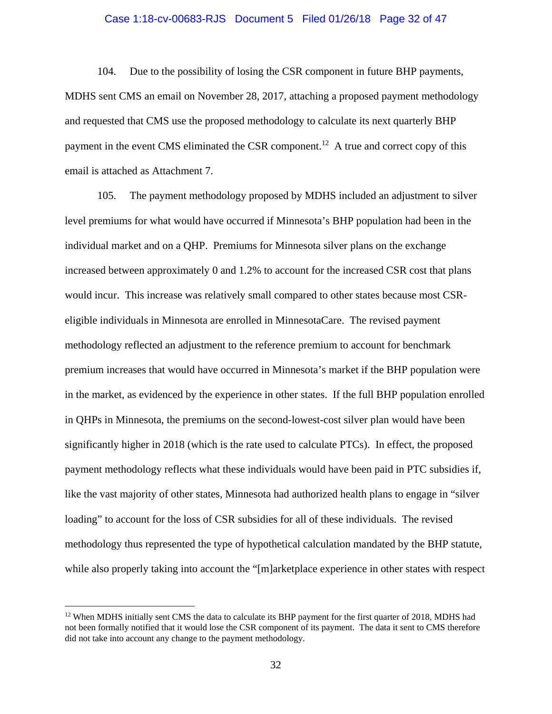#### Case 1:18-cv-00683-RJS Document 5 Filed 01/26/18 Page 32 of 47

104. Due to the possibility of losing the CSR component in future BHP payments, MDHS sent CMS an email on November 28, 2017, attaching a proposed payment methodology and requested that CMS use the proposed methodology to calculate its next quarterly BHP payment in the event CMS eliminated the CSR component.<sup>12</sup> A true and correct copy of this email is attached as Attachment 7.

105. The payment methodology proposed by MDHS included an adjustment to silver level premiums for what would have occurred if Minnesota's BHP population had been in the individual market and on a QHP. Premiums for Minnesota silver plans on the exchange increased between approximately 0 and 1.2% to account for the increased CSR cost that plans would incur. This increase was relatively small compared to other states because most CSReligible individuals in Minnesota are enrolled in MinnesotaCare. The revised payment methodology reflected an adjustment to the reference premium to account for benchmark premium increases that would have occurred in Minnesota's market if the BHP population were in the market, as evidenced by the experience in other states. If the full BHP population enrolled in QHPs in Minnesota, the premiums on the second-lowest-cost silver plan would have been significantly higher in 2018 (which is the rate used to calculate PTCs). In effect, the proposed payment methodology reflects what these individuals would have been paid in PTC subsidies if, like the vast majority of other states, Minnesota had authorized health plans to engage in "silver loading" to account for the loss of CSR subsidies for all of these individuals. The revised methodology thus represented the type of hypothetical calculation mandated by the BHP statute, while also properly taking into account the "[m]arketplace experience in other states with respect

 $12$  When MDHS initially sent CMS the data to calculate its BHP payment for the first quarter of 2018, MDHS had not been formally notified that it would lose the CSR component of its payment. The data it sent to CMS therefore did not take into account any change to the payment methodology.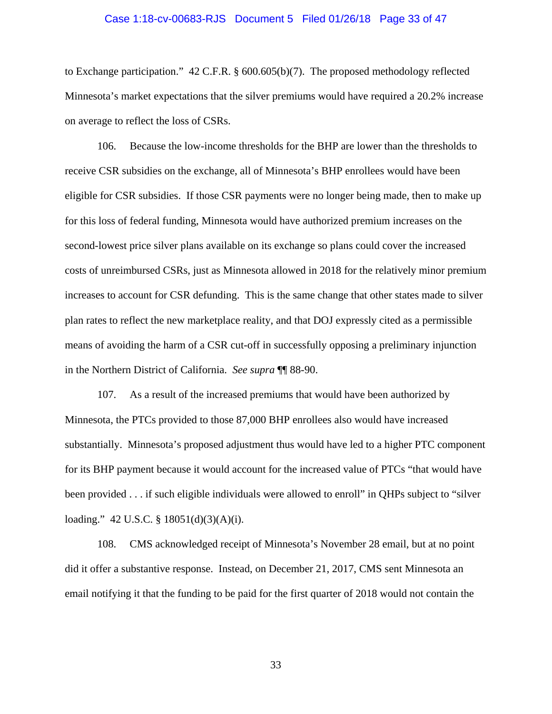#### Case 1:18-cv-00683-RJS Document 5 Filed 01/26/18 Page 33 of 47

to Exchange participation." 42 C.F.R. § 600.605(b)(7). The proposed methodology reflected Minnesota's market expectations that the silver premiums would have required a 20.2% increase on average to reflect the loss of CSRs.

106. Because the low-income thresholds for the BHP are lower than the thresholds to receive CSR subsidies on the exchange, all of Minnesota's BHP enrollees would have been eligible for CSR subsidies. If those CSR payments were no longer being made, then to make up for this loss of federal funding, Minnesota would have authorized premium increases on the second-lowest price silver plans available on its exchange so plans could cover the increased costs of unreimbursed CSRs, just as Minnesota allowed in 2018 for the relatively minor premium increases to account for CSR defunding. This is the same change that other states made to silver plan rates to reflect the new marketplace reality, and that DOJ expressly cited as a permissible means of avoiding the harm of a CSR cut-off in successfully opposing a preliminary injunction in the Northern District of California. *See supra* ¶¶ 88-90.

107. As a result of the increased premiums that would have been authorized by Minnesota, the PTCs provided to those 87,000 BHP enrollees also would have increased substantially. Minnesota's proposed adjustment thus would have led to a higher PTC component for its BHP payment because it would account for the increased value of PTCs "that would have been provided . . . if such eligible individuals were allowed to enroll" in QHPs subject to "silver loading." 42 U.S.C. § 18051(d)(3)(A)(i).

108. CMS acknowledged receipt of Minnesota's November 28 email, but at no point did it offer a substantive response. Instead, on December 21, 2017, CMS sent Minnesota an email notifying it that the funding to be paid for the first quarter of 2018 would not contain the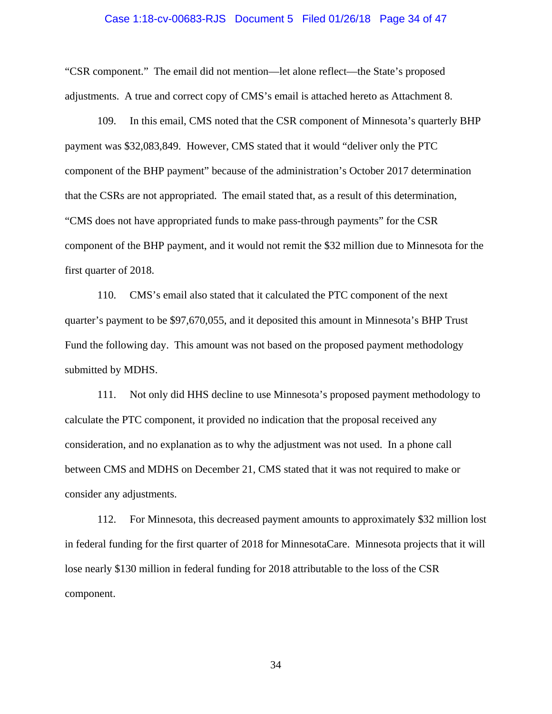#### Case 1:18-cv-00683-RJS Document 5 Filed 01/26/18 Page 34 of 47

"CSR component." The email did not mention—let alone reflect—the State's proposed adjustments. A true and correct copy of CMS's email is attached hereto as Attachment 8.

109. In this email, CMS noted that the CSR component of Minnesota's quarterly BHP payment was \$32,083,849. However, CMS stated that it would "deliver only the PTC component of the BHP payment" because of the administration's October 2017 determination that the CSRs are not appropriated. The email stated that, as a result of this determination, "CMS does not have appropriated funds to make pass-through payments" for the CSR component of the BHP payment, and it would not remit the \$32 million due to Minnesota for the first quarter of 2018.

110. CMS's email also stated that it calculated the PTC component of the next quarter's payment to be \$97,670,055, and it deposited this amount in Minnesota's BHP Trust Fund the following day. This amount was not based on the proposed payment methodology submitted by MDHS.

111. Not only did HHS decline to use Minnesota's proposed payment methodology to calculate the PTC component, it provided no indication that the proposal received any consideration, and no explanation as to why the adjustment was not used. In a phone call between CMS and MDHS on December 21, CMS stated that it was not required to make or consider any adjustments.

112. For Minnesota, this decreased payment amounts to approximately \$32 million lost in federal funding for the first quarter of 2018 for MinnesotaCare. Minnesota projects that it will lose nearly \$130 million in federal funding for 2018 attributable to the loss of the CSR component.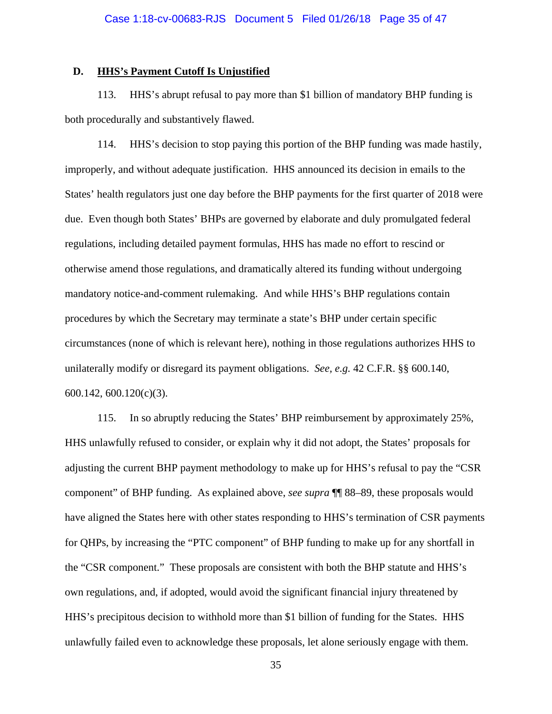## **D. HHS's Payment Cutoff Is Unjustified**

113. HHS's abrupt refusal to pay more than \$1 billion of mandatory BHP funding is both procedurally and substantively flawed.

114. HHS's decision to stop paying this portion of the BHP funding was made hastily, improperly, and without adequate justification. HHS announced its decision in emails to the States' health regulators just one day before the BHP payments for the first quarter of 2018 were due. Even though both States' BHPs are governed by elaborate and duly promulgated federal regulations, including detailed payment formulas, HHS has made no effort to rescind or otherwise amend those regulations, and dramatically altered its funding without undergoing mandatory notice-and-comment rulemaking. And while HHS's BHP regulations contain procedures by which the Secretary may terminate a state's BHP under certain specific circumstances (none of which is relevant here), nothing in those regulations authorizes HHS to unilaterally modify or disregard its payment obligations. *See, e.g.* 42 C.F.R. §§ 600.140, 600.142, 600.120(c)(3).

115. In so abruptly reducing the States' BHP reimbursement by approximately 25%, HHS unlawfully refused to consider, or explain why it did not adopt, the States' proposals for adjusting the current BHP payment methodology to make up for HHS's refusal to pay the "CSR component" of BHP funding. As explained above, *see supra* ¶¶ 88–89, these proposals would have aligned the States here with other states responding to HHS's termination of CSR payments for QHPs, by increasing the "PTC component" of BHP funding to make up for any shortfall in the "CSR component." These proposals are consistent with both the BHP statute and HHS's own regulations, and, if adopted, would avoid the significant financial injury threatened by HHS's precipitous decision to withhold more than \$1 billion of funding for the States. HHS unlawfully failed even to acknowledge these proposals, let alone seriously engage with them.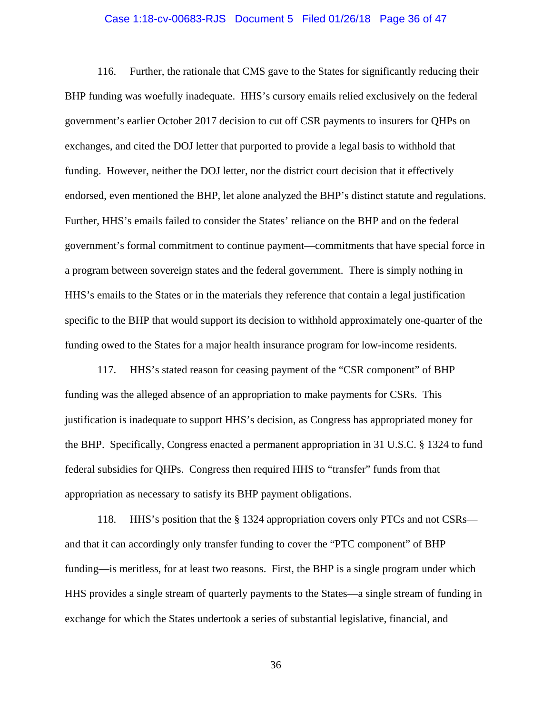#### Case 1:18-cv-00683-RJS Document 5 Filed 01/26/18 Page 36 of 47

116. Further, the rationale that CMS gave to the States for significantly reducing their BHP funding was woefully inadequate. HHS's cursory emails relied exclusively on the federal government's earlier October 2017 decision to cut off CSR payments to insurers for QHPs on exchanges, and cited the DOJ letter that purported to provide a legal basis to withhold that funding. However, neither the DOJ letter, nor the district court decision that it effectively endorsed, even mentioned the BHP, let alone analyzed the BHP's distinct statute and regulations. Further, HHS's emails failed to consider the States' reliance on the BHP and on the federal government's formal commitment to continue payment—commitments that have special force in a program between sovereign states and the federal government. There is simply nothing in HHS's emails to the States or in the materials they reference that contain a legal justification specific to the BHP that would support its decision to withhold approximately one-quarter of the funding owed to the States for a major health insurance program for low-income residents.

117. HHS's stated reason for ceasing payment of the "CSR component" of BHP funding was the alleged absence of an appropriation to make payments for CSRs. This justification is inadequate to support HHS's decision, as Congress has appropriated money for the BHP. Specifically, Congress enacted a permanent appropriation in 31 U.S.C. § 1324 to fund federal subsidies for QHPs. Congress then required HHS to "transfer" funds from that appropriation as necessary to satisfy its BHP payment obligations.

118. HHS's position that the § 1324 appropriation covers only PTCs and not CSRs and that it can accordingly only transfer funding to cover the "PTC component" of BHP funding—is meritless, for at least two reasons. First, the BHP is a single program under which HHS provides a single stream of quarterly payments to the States—a single stream of funding in exchange for which the States undertook a series of substantial legislative, financial, and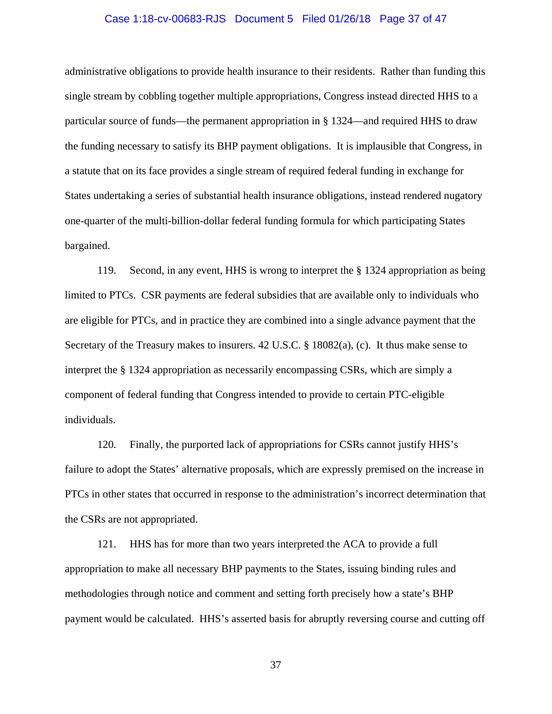### Case 1:18-cv-00683-RJS Document 5 Filed 01/26/18 Page 37 of 47

administrative obligations to provide health insurance to their residents. Rather than funding this single stream by cobbling together multiple appropriations, Congress instead directed HHS to a particular source of funds—the permanent appropriation in § 1324—and required HHS to draw the funding necessary to satisfy its BHP payment obligations. It is implausible that Congress, in a statute that on its face provides a single stream of required federal funding in exchange for States undertaking a series of substantial health insurance obligations, instead rendered nugatory one-quarter of the multi-billion-dollar federal funding formula for which participating States bargained.

119. Second, in any event, HHS is wrong to interpret the § 1324 appropriation as being limited to PTCs. CSR payments are federal subsidies that are available only to individuals who are eligible for PTCs, and in practice they are combined into a single advance payment that the Secretary of the Treasury makes to insurers. 42 U.S.C. § 18082(a), (c). It thus make sense to interpret the § 1324 appropriation as necessarily encompassing CSRs, which are simply a component of federal funding that Congress intended to provide to certain PTC-eligible individuals.

120. Finally, the purported lack of appropriations for CSRs cannot justify HHS's failure to adopt the States' alternative proposals, which are expressly premised on the increase in PTCs in other states that occurred in response to the administration's incorrect determination that the CSRs are not appropriated.

121. HHS has for more than two years interpreted the ACA to provide a full appropriation to make all necessary BHP payments to the States, issuing binding rules and methodologies through notice and comment and setting forth precisely how a state's BHP payment would be calculated. HHS's asserted basis for abruptly reversing course and cutting off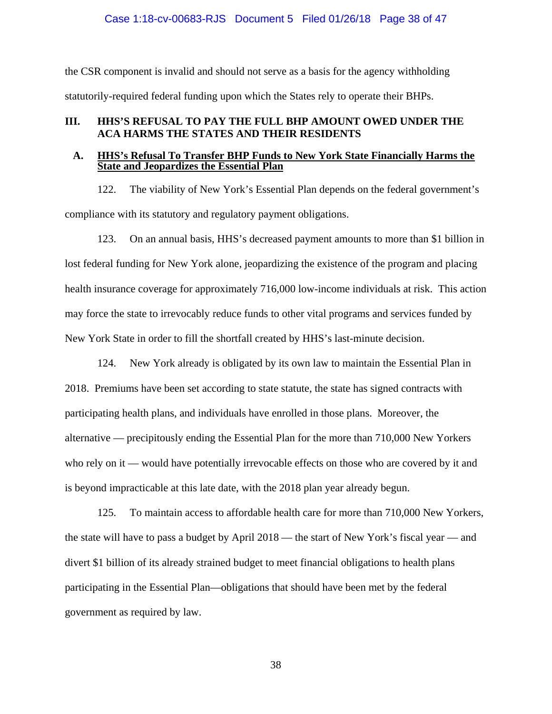## Case 1:18-cv-00683-RJS Document 5 Filed 01/26/18 Page 38 of 47

the CSR component is invalid and should not serve as a basis for the agency withholding statutorily-required federal funding upon which the States rely to operate their BHPs.

## **III. HHS'S REFUSAL TO PAY THE FULL BHP AMOUNT OWED UNDER THE ACA HARMS THE STATES AND THEIR RESIDENTS**

### **A. HHS's Refusal To Transfer BHP Funds to New York State Financially Harms the State and Jeopardizes the Essential Plan**

122. The viability of New York's Essential Plan depends on the federal government's compliance with its statutory and regulatory payment obligations.

123. On an annual basis, HHS's decreased payment amounts to more than \$1 billion in lost federal funding for New York alone, jeopardizing the existence of the program and placing health insurance coverage for approximately 716,000 low-income individuals at risk. This action may force the state to irrevocably reduce funds to other vital programs and services funded by New York State in order to fill the shortfall created by HHS's last-minute decision.

124. New York already is obligated by its own law to maintain the Essential Plan in 2018. Premiums have been set according to state statute, the state has signed contracts with participating health plans, and individuals have enrolled in those plans. Moreover, the alternative — precipitously ending the Essential Plan for the more than 710,000 New Yorkers who rely on it — would have potentially irrevocable effects on those who are covered by it and is beyond impracticable at this late date, with the 2018 plan year already begun.

125. To maintain access to affordable health care for more than 710,000 New Yorkers, the state will have to pass a budget by April 2018 — the start of New York's fiscal year — and divert \$1 billion of its already strained budget to meet financial obligations to health plans participating in the Essential Plan—obligations that should have been met by the federal government as required by law.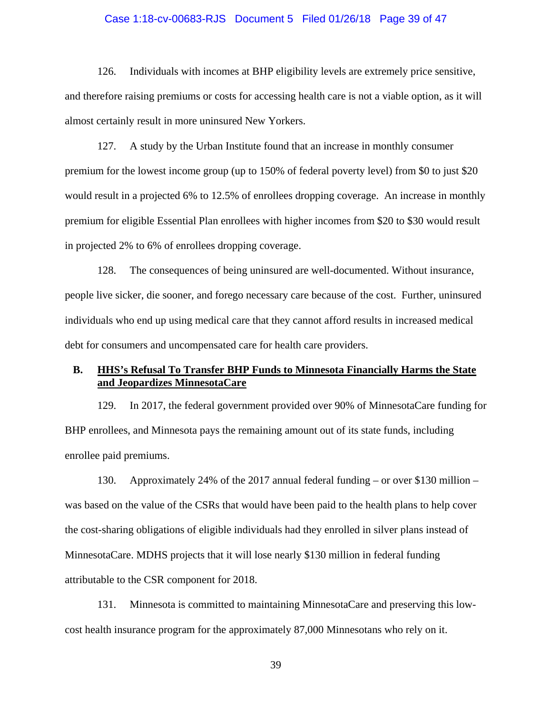#### Case 1:18-cv-00683-RJS Document 5 Filed 01/26/18 Page 39 of 47

126. Individuals with incomes at BHP eligibility levels are extremely price sensitive, and therefore raising premiums or costs for accessing health care is not a viable option, as it will almost certainly result in more uninsured New Yorkers.

127. A study by the Urban Institute found that an increase in monthly consumer premium for the lowest income group (up to 150% of federal poverty level) from \$0 to just \$20 would result in a projected 6% to 12.5% of enrollees dropping coverage. An increase in monthly premium for eligible Essential Plan enrollees with higher incomes from \$20 to \$30 would result in projected 2% to 6% of enrollees dropping coverage.

128. The consequences of being uninsured are well-documented. Without insurance, people live sicker, die sooner, and forego necessary care because of the cost. Further, uninsured individuals who end up using medical care that they cannot afford results in increased medical debt for consumers and uncompensated care for health care providers.

## **B. HHS's Refusal To Transfer BHP Funds to Minnesota Financially Harms the State and Jeopardizes MinnesotaCare**

129. In 2017, the federal government provided over 90% of MinnesotaCare funding for BHP enrollees, and Minnesota pays the remaining amount out of its state funds, including enrollee paid premiums.

130. Approximately 24% of the 2017 annual federal funding – or over \$130 million – was based on the value of the CSRs that would have been paid to the health plans to help cover the cost-sharing obligations of eligible individuals had they enrolled in silver plans instead of MinnesotaCare. MDHS projects that it will lose nearly \$130 million in federal funding attributable to the CSR component for 2018.

131. Minnesota is committed to maintaining MinnesotaCare and preserving this lowcost health insurance program for the approximately 87,000 Minnesotans who rely on it.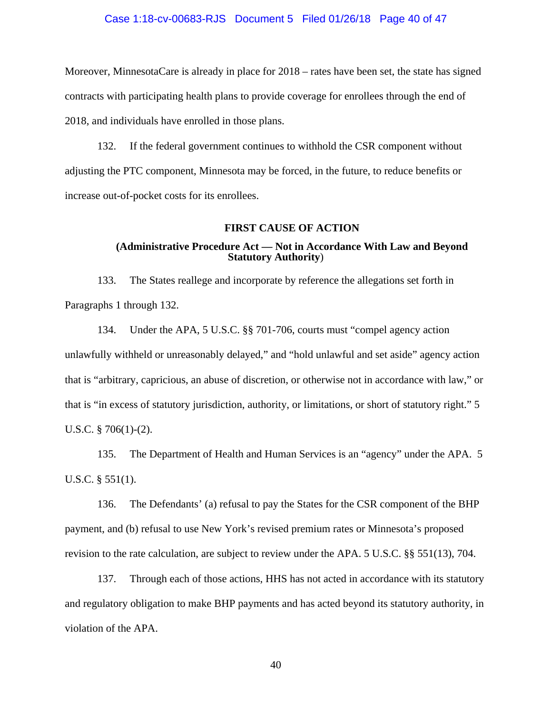#### Case 1:18-cv-00683-RJS Document 5 Filed 01/26/18 Page 40 of 47

Moreover, MinnesotaCare is already in place for 2018 – rates have been set, the state has signed contracts with participating health plans to provide coverage for enrollees through the end of 2018, and individuals have enrolled in those plans.

132. If the federal government continues to withhold the CSR component without adjusting the PTC component, Minnesota may be forced, in the future, to reduce benefits or increase out-of-pocket costs for its enrollees.

#### **FIRST CAUSE OF ACTION**

## **(Administrative Procedure Act — Not in Accordance With Law and Beyond Statutory Authority**)

133. The States reallege and incorporate by reference the allegations set forth in Paragraphs 1 through 132.

134. Under the APA, 5 U.S.C. §§ 701-706, courts must "compel agency action unlawfully withheld or unreasonably delayed," and "hold unlawful and set aside" agency action that is "arbitrary, capricious, an abuse of discretion, or otherwise not in accordance with law," or that is "in excess of statutory jurisdiction, authority, or limitations, or short of statutory right." 5 U.S.C. § 706(1)-(2).

135. The Department of Health and Human Services is an "agency" under the APA. 5 U.S.C. § 551(1).

136. The Defendants' (a) refusal to pay the States for the CSR component of the BHP payment, and (b) refusal to use New York's revised premium rates or Minnesota's proposed revision to the rate calculation, are subject to review under the APA. 5 U.S.C. §§ 551(13), 704.

137. Through each of those actions, HHS has not acted in accordance with its statutory and regulatory obligation to make BHP payments and has acted beyond its statutory authority, in violation of the APA.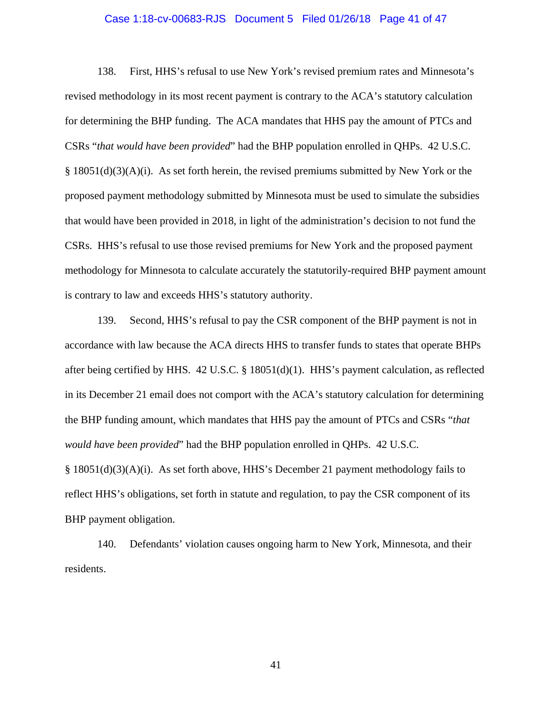#### Case 1:18-cv-00683-RJS Document 5 Filed 01/26/18 Page 41 of 47

138. First, HHS's refusal to use New York's revised premium rates and Minnesota's revised methodology in its most recent payment is contrary to the ACA's statutory calculation for determining the BHP funding. The ACA mandates that HHS pay the amount of PTCs and CSRs "*that would have been provided*" had the BHP population enrolled in QHPs. 42 U.S.C.  $\S$  18051(d)(3)(A)(i). As set forth herein, the revised premiums submitted by New York or the proposed payment methodology submitted by Minnesota must be used to simulate the subsidies that would have been provided in 2018, in light of the administration's decision to not fund the CSRs. HHS's refusal to use those revised premiums for New York and the proposed payment methodology for Minnesota to calculate accurately the statutorily-required BHP payment amount is contrary to law and exceeds HHS's statutory authority.

139. Second, HHS's refusal to pay the CSR component of the BHP payment is not in accordance with law because the ACA directs HHS to transfer funds to states that operate BHPs after being certified by HHS. 42 U.S.C. § 18051(d)(1). HHS's payment calculation, as reflected in its December 21 email does not comport with the ACA's statutory calculation for determining the BHP funding amount, which mandates that HHS pay the amount of PTCs and CSRs "*that would have been provided*" had the BHP population enrolled in QHPs. 42 U.S.C. § 18051(d)(3)(A)(i). As set forth above, HHS's December 21 payment methodology fails to reflect HHS's obligations, set forth in statute and regulation, to pay the CSR component of its BHP payment obligation.

140. Defendants' violation causes ongoing harm to New York, Minnesota, and their residents.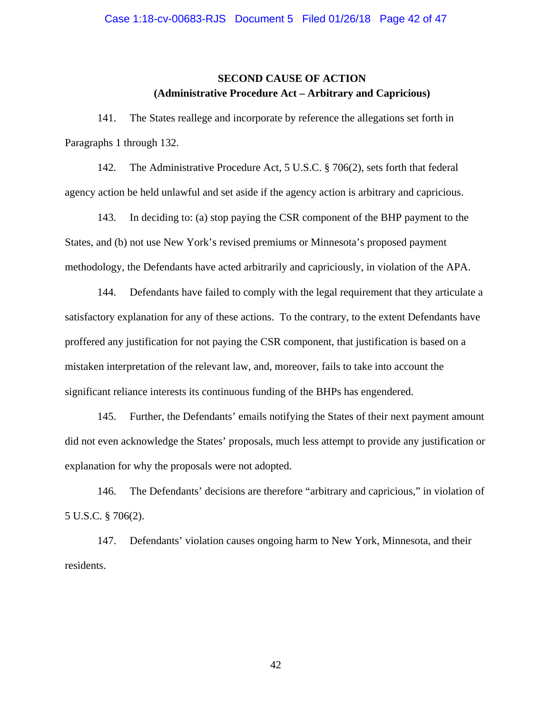# **SECOND CAUSE OF ACTION (Administrative Procedure Act – Arbitrary and Capricious)**

141. The States reallege and incorporate by reference the allegations set forth in Paragraphs 1 through 132.

142. The Administrative Procedure Act, 5 U.S.C. § 706(2), sets forth that federal agency action be held unlawful and set aside if the agency action is arbitrary and capricious.

143. In deciding to: (a) stop paying the CSR component of the BHP payment to the States, and (b) not use New York's revised premiums or Minnesota's proposed payment methodology, the Defendants have acted arbitrarily and capriciously, in violation of the APA.

144. Defendants have failed to comply with the legal requirement that they articulate a satisfactory explanation for any of these actions. To the contrary, to the extent Defendants have proffered any justification for not paying the CSR component, that justification is based on a mistaken interpretation of the relevant law, and, moreover, fails to take into account the significant reliance interests its continuous funding of the BHPs has engendered.

145. Further, the Defendants' emails notifying the States of their next payment amount did not even acknowledge the States' proposals, much less attempt to provide any justification or explanation for why the proposals were not adopted.

146. The Defendants' decisions are therefore "arbitrary and capricious," in violation of 5 U.S.C. § 706(2).

147. Defendants' violation causes ongoing harm to New York, Minnesota, and their residents.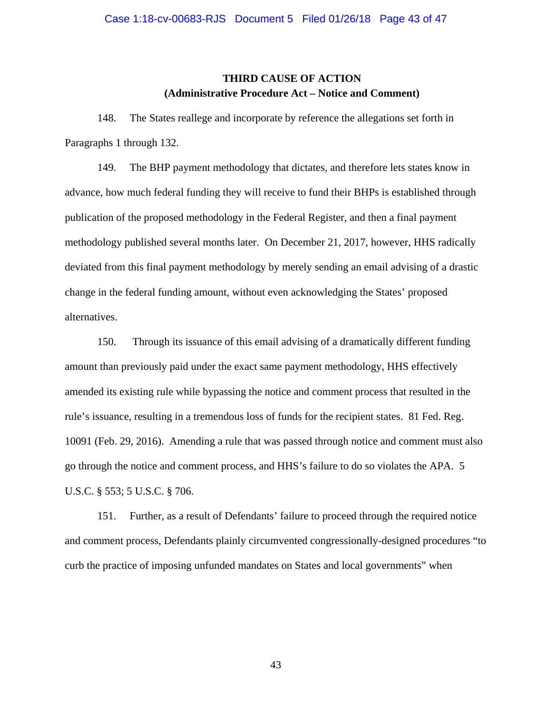# **THIRD CAUSE OF ACTION (Administrative Procedure Act – Notice and Comment)**

148. The States reallege and incorporate by reference the allegations set forth in Paragraphs 1 through 132.

149. The BHP payment methodology that dictates, and therefore lets states know in advance, how much federal funding they will receive to fund their BHPs is established through publication of the proposed methodology in the Federal Register, and then a final payment methodology published several months later. On December 21, 2017, however, HHS radically deviated from this final payment methodology by merely sending an email advising of a drastic change in the federal funding amount, without even acknowledging the States' proposed alternatives.

150. Through its issuance of this email advising of a dramatically different funding amount than previously paid under the exact same payment methodology, HHS effectively amended its existing rule while bypassing the notice and comment process that resulted in the rule's issuance, resulting in a tremendous loss of funds for the recipient states. 81 Fed. Reg. 10091 (Feb. 29, 2016). Amending a rule that was passed through notice and comment must also go through the notice and comment process, and HHS's failure to do so violates the APA. 5 U.S.C. § 553; 5 U.S.C. § 706.

151. Further, as a result of Defendants' failure to proceed through the required notice and comment process, Defendants plainly circumvented congressionally-designed procedures "to curb the practice of imposing unfunded mandates on States and local governments" when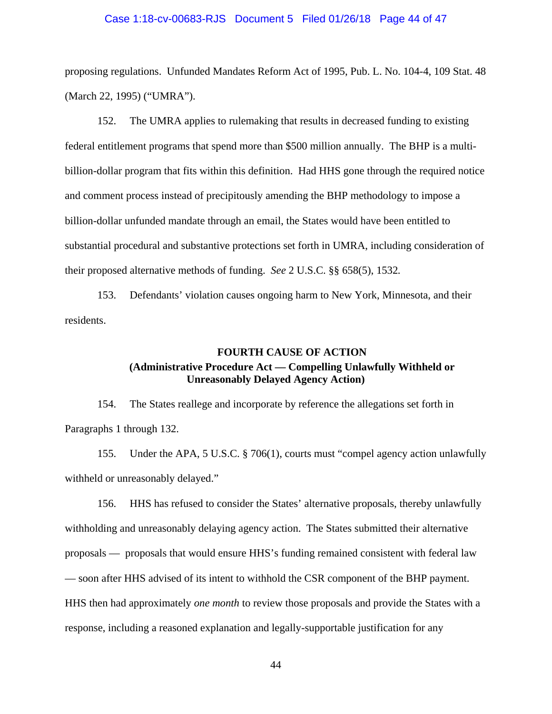#### Case 1:18-cv-00683-RJS Document 5 Filed 01/26/18 Page 44 of 47

proposing regulations. Unfunded Mandates Reform Act of 1995, Pub. L. No. 104-4, 109 Stat. 48 (March 22, 1995) ("UMRA").

152. The UMRA applies to rulemaking that results in decreased funding to existing federal entitlement programs that spend more than \$500 million annually. The BHP is a multibillion-dollar program that fits within this definition. Had HHS gone through the required notice and comment process instead of precipitously amending the BHP methodology to impose a billion-dollar unfunded mandate through an email, the States would have been entitled to substantial procedural and substantive protections set forth in UMRA, including consideration of their proposed alternative methods of funding. *See* 2 U.S.C. §§ 658(5), 1532*.*

153. Defendants' violation causes ongoing harm to New York, Minnesota, and their residents.

# **FOURTH CAUSE OF ACTION (Administrative Procedure Act — Compelling Unlawfully Withheld or Unreasonably Delayed Agency Action)**

154. The States reallege and incorporate by reference the allegations set forth in Paragraphs 1 through 132.

155. Under the APA, 5 U.S.C. § 706(1), courts must "compel agency action unlawfully withheld or unreasonably delayed."

156. HHS has refused to consider the States' alternative proposals, thereby unlawfully withholding and unreasonably delaying agency action. The States submitted their alternative proposals — proposals that would ensure HHS's funding remained consistent with federal law — soon after HHS advised of its intent to withhold the CSR component of the BHP payment. HHS then had approximately *one month* to review those proposals and provide the States with a response, including a reasoned explanation and legally-supportable justification for any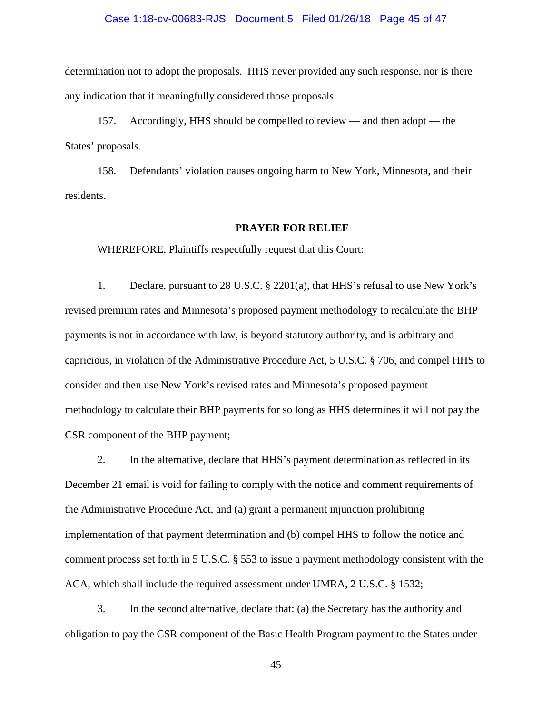#### Case 1:18-cv-00683-RJS Document 5 Filed 01/26/18 Page 45 of 47

determination not to adopt the proposals. HHS never provided any such response, nor is there any indication that it meaningfully considered those proposals.

157. Accordingly, HHS should be compelled to review — and then adopt — the States' proposals.

158. Defendants' violation causes ongoing harm to New York, Minnesota, and their residents.

#### **PRAYER FOR RELIEF**

WHEREFORE, Plaintiffs respectfully request that this Court:

1. Declare, pursuant to 28 U.S.C. § 2201(a), that HHS's refusal to use New York's revised premium rates and Minnesota's proposed payment methodology to recalculate the BHP payments is not in accordance with law, is beyond statutory authority, and is arbitrary and capricious, in violation of the Administrative Procedure Act, 5 U.S.C. § 706, and compel HHS to consider and then use New York's revised rates and Minnesota's proposed payment methodology to calculate their BHP payments for so long as HHS determines it will not pay the CSR component of the BHP payment;

2. In the alternative, declare that HHS's payment determination as reflected in its December 21 email is void for failing to comply with the notice and comment requirements of the Administrative Procedure Act, and (a) grant a permanent injunction prohibiting implementation of that payment determination and (b) compel HHS to follow the notice and comment process set forth in 5 U.S.C. § 553 to issue a payment methodology consistent with the ACA, which shall include the required assessment under UMRA, 2 U.S.C. § 1532;

3. In the second alternative, declare that: (a) the Secretary has the authority and obligation to pay the CSR component of the Basic Health Program payment to the States under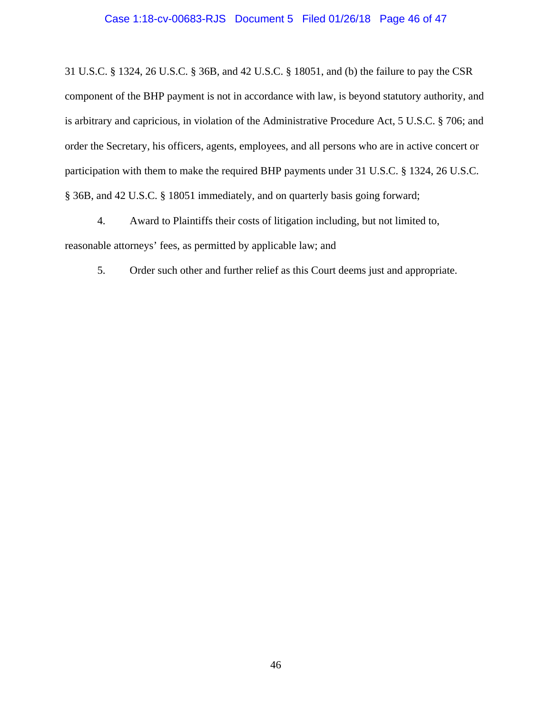## Case 1:18-cv-00683-RJS Document 5 Filed 01/26/18 Page 46 of 47

31 U.S.C. § 1324, 26 U.S.C. § 36B, and 42 U.S.C. § 18051, and (b) the failure to pay the CSR component of the BHP payment is not in accordance with law, is beyond statutory authority, and is arbitrary and capricious, in violation of the Administrative Procedure Act, 5 U.S.C. § 706; and order the Secretary, his officers, agents, employees, and all persons who are in active concert or participation with them to make the required BHP payments under 31 U.S.C. § 1324, 26 U.S.C. § 36B, and 42 U.S.C. § 18051 immediately, and on quarterly basis going forward;

4. Award to Plaintiffs their costs of litigation including, but not limited to, reasonable attorneys' fees, as permitted by applicable law; and

5. Order such other and further relief as this Court deems just and appropriate.